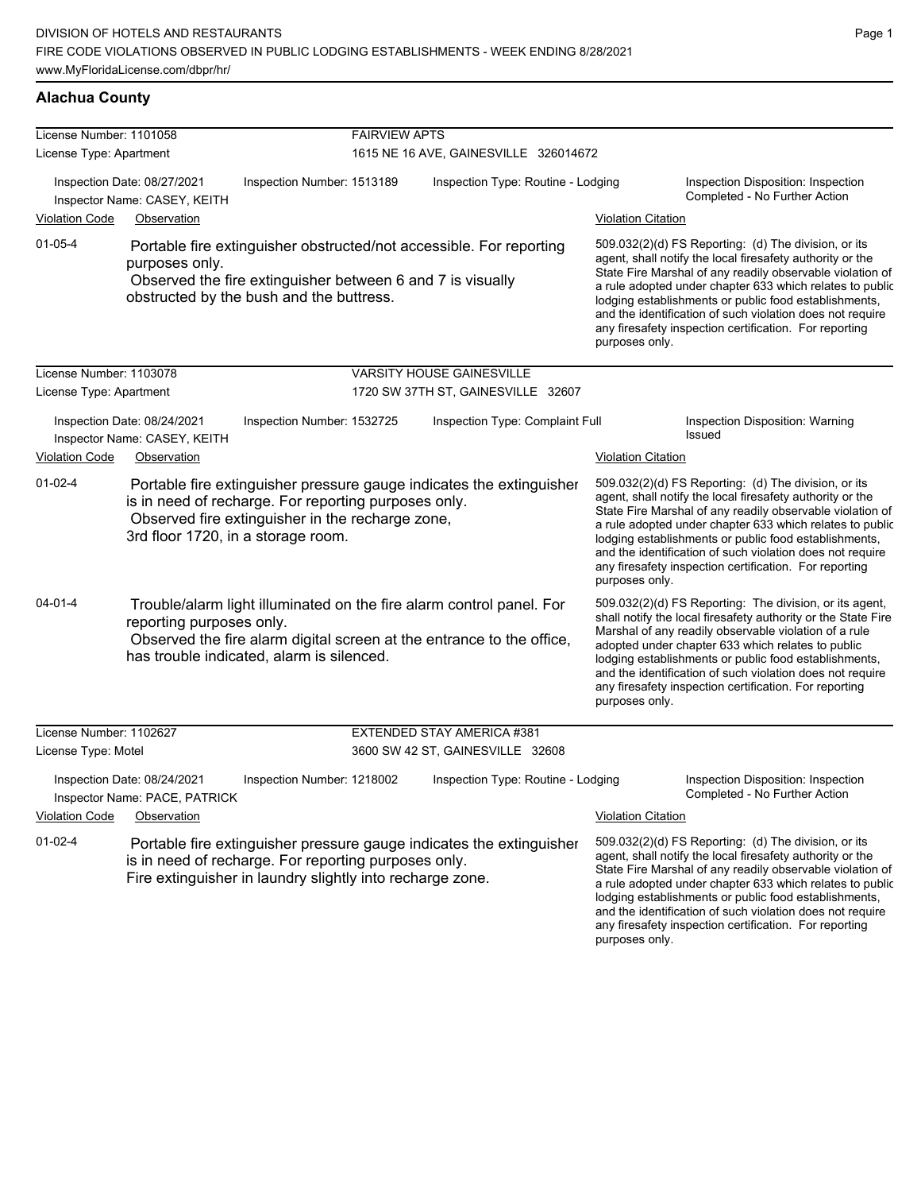### **Alachua County**

| License Number: 1101058<br>License Type: Apartment          |                                                                       |                                                                                                                                                                               | <b>FAIRVIEW APTS</b><br>1615 NE 16 AVE, GAINESVILLE 326014672                                                                                                                                                                                                                                                                                                                                                                                |                                                                                                                                                                                                                                                                                                                                                                                                                                              |                                                                                                                                                                                                                                                                                                                                                                                                                        |  |  |  |
|-------------------------------------------------------------|-----------------------------------------------------------------------|-------------------------------------------------------------------------------------------------------------------------------------------------------------------------------|----------------------------------------------------------------------------------------------------------------------------------------------------------------------------------------------------------------------------------------------------------------------------------------------------------------------------------------------------------------------------------------------------------------------------------------------|----------------------------------------------------------------------------------------------------------------------------------------------------------------------------------------------------------------------------------------------------------------------------------------------------------------------------------------------------------------------------------------------------------------------------------------------|------------------------------------------------------------------------------------------------------------------------------------------------------------------------------------------------------------------------------------------------------------------------------------------------------------------------------------------------------------------------------------------------------------------------|--|--|--|
|                                                             |                                                                       |                                                                                                                                                                               |                                                                                                                                                                                                                                                                                                                                                                                                                                              |                                                                                                                                                                                                                                                                                                                                                                                                                                              |                                                                                                                                                                                                                                                                                                                                                                                                                        |  |  |  |
| Inspection Date: 08/27/2021<br>Inspector Name: CASEY, KEITH |                                                                       | Inspection Number: 1513189                                                                                                                                                    | Inspection Type: Routine - Lodging                                                                                                                                                                                                                                                                                                                                                                                                           |                                                                                                                                                                                                                                                                                                                                                                                                                                              | Inspection Disposition: Inspection<br>Completed - No Further Action                                                                                                                                                                                                                                                                                                                                                    |  |  |  |
| <b>Violation Code</b>                                       | Observation                                                           |                                                                                                                                                                               |                                                                                                                                                                                                                                                                                                                                                                                                                                              | <b>Violation Citation</b>                                                                                                                                                                                                                                                                                                                                                                                                                    |                                                                                                                                                                                                                                                                                                                                                                                                                        |  |  |  |
| $01 - 05 - 4$                                               | purposes only.                                                        | Portable fire extinguisher obstructed/not accessible. For reporting<br>Observed the fire extinguisher between 6 and 7 is visually<br>obstructed by the bush and the buttress. | 509.032(2)(d) FS Reporting: (d) The division, or its<br>agent, shall notify the local firesafety authority or the<br>State Fire Marshal of any readily observable violation of<br>a rule adopted under chapter 633 which relates to public<br>lodging establishments or public food establishments,<br>and the identification of such violation does not require<br>any firesafety inspection certification. For reporting<br>purposes only. |                                                                                                                                                                                                                                                                                                                                                                                                                                              |                                                                                                                                                                                                                                                                                                                                                                                                                        |  |  |  |
| License Number: 1103078                                     |                                                                       |                                                                                                                                                                               | VARSITY HOUSE GAINESVILLE                                                                                                                                                                                                                                                                                                                                                                                                                    |                                                                                                                                                                                                                                                                                                                                                                                                                                              |                                                                                                                                                                                                                                                                                                                                                                                                                        |  |  |  |
| License Type: Apartment                                     |                                                                       |                                                                                                                                                                               | 1720 SW 37TH ST, GAINESVILLE 32607                                                                                                                                                                                                                                                                                                                                                                                                           |                                                                                                                                                                                                                                                                                                                                                                                                                                              |                                                                                                                                                                                                                                                                                                                                                                                                                        |  |  |  |
|                                                             | Inspection Date: 08/24/2021<br>Inspector Name: CASEY, KEITH           | Inspection Number: 1532725                                                                                                                                                    | Inspection Type: Complaint Full                                                                                                                                                                                                                                                                                                                                                                                                              |                                                                                                                                                                                                                                                                                                                                                                                                                                              | Inspection Disposition: Warning<br><b>Issued</b>                                                                                                                                                                                                                                                                                                                                                                       |  |  |  |
| <b>Violation Code</b>                                       | Observation                                                           |                                                                                                                                                                               |                                                                                                                                                                                                                                                                                                                                                                                                                                              | <b>Violation Citation</b>                                                                                                                                                                                                                                                                                                                                                                                                                    |                                                                                                                                                                                                                                                                                                                                                                                                                        |  |  |  |
| $01 - 02 - 4$                                               | 3rd floor 1720, in a storage room.                                    | is in need of recharge. For reporting purposes only.<br>Observed fire extinguisher in the recharge zone,                                                                      | Portable fire extinguisher pressure gauge indicates the extinguisher                                                                                                                                                                                                                                                                                                                                                                         | 509.032(2)(d) FS Reporting: (d) The division, or its<br>agent, shall notify the local firesafety authority or the<br>State Fire Marshal of any readily observable violation of<br>a rule adopted under chapter 633 which relates to public<br>lodging establishments or public food establishments,<br>and the identification of such violation does not require<br>any firesafety inspection certification. For reporting<br>purposes only. |                                                                                                                                                                                                                                                                                                                                                                                                                        |  |  |  |
| 04-01-4                                                     | reporting purposes only.<br>has trouble indicated, alarm is silenced. | Trouble/alarm light illuminated on the fire alarm control panel. For<br>Observed the fire alarm digital screen at the entrance to the office,                                 |                                                                                                                                                                                                                                                                                                                                                                                                                                              | purposes only.                                                                                                                                                                                                                                                                                                                                                                                                                               | 509.032(2)(d) FS Reporting: The division, or its agent,<br>shall notify the local firesafety authority or the State Fire<br>Marshal of any readily observable violation of a rule<br>adopted under chapter 633 which relates to public<br>lodging establishments or public food establishments,<br>and the identification of such violation does not require<br>any firesafety inspection certification. For reporting |  |  |  |
| License Number: 1102627<br>License Type: Motel              |                                                                       |                                                                                                                                                                               | EXTENDED STAY AMERICA #381<br>3600 SW 42 ST, GAINESVILLE 32608                                                                                                                                                                                                                                                                                                                                                                               |                                                                                                                                                                                                                                                                                                                                                                                                                                              |                                                                                                                                                                                                                                                                                                                                                                                                                        |  |  |  |
|                                                             | Inspection Date: 08/24/2021<br>Inspector Name: PACE, PATRICK          | Inspection Number: 1218002                                                                                                                                                    | Inspection Type: Routine - Lodging                                                                                                                                                                                                                                                                                                                                                                                                           |                                                                                                                                                                                                                                                                                                                                                                                                                                              | Inspection Disposition: Inspection<br>Completed - No Further Action                                                                                                                                                                                                                                                                                                                                                    |  |  |  |
| Violation Code                                              | Observation                                                           |                                                                                                                                                                               |                                                                                                                                                                                                                                                                                                                                                                                                                                              | <b>Violation Citation</b>                                                                                                                                                                                                                                                                                                                                                                                                                    |                                                                                                                                                                                                                                                                                                                                                                                                                        |  |  |  |
| $01-02-4$                                                   |                                                                       | is in need of recharge. For reporting purposes only.<br>Fire extinguisher in laundry slightly into recharge zone.                                                             | Portable fire extinguisher pressure gauge indicates the extinguisher                                                                                                                                                                                                                                                                                                                                                                         |                                                                                                                                                                                                                                                                                                                                                                                                                                              | 509.032(2)(d) FS Reporting: (d) The division, or its<br>agent, shall notify the local firesafety authority or the<br>State Fire Marshal of any readily observable violation of<br>a rule adopted under chapter 633 which relates to public<br>lodging establishments or public food establishments,<br>and the identification of such violation does not require                                                       |  |  |  |

any firesafety inspection certification. For reporting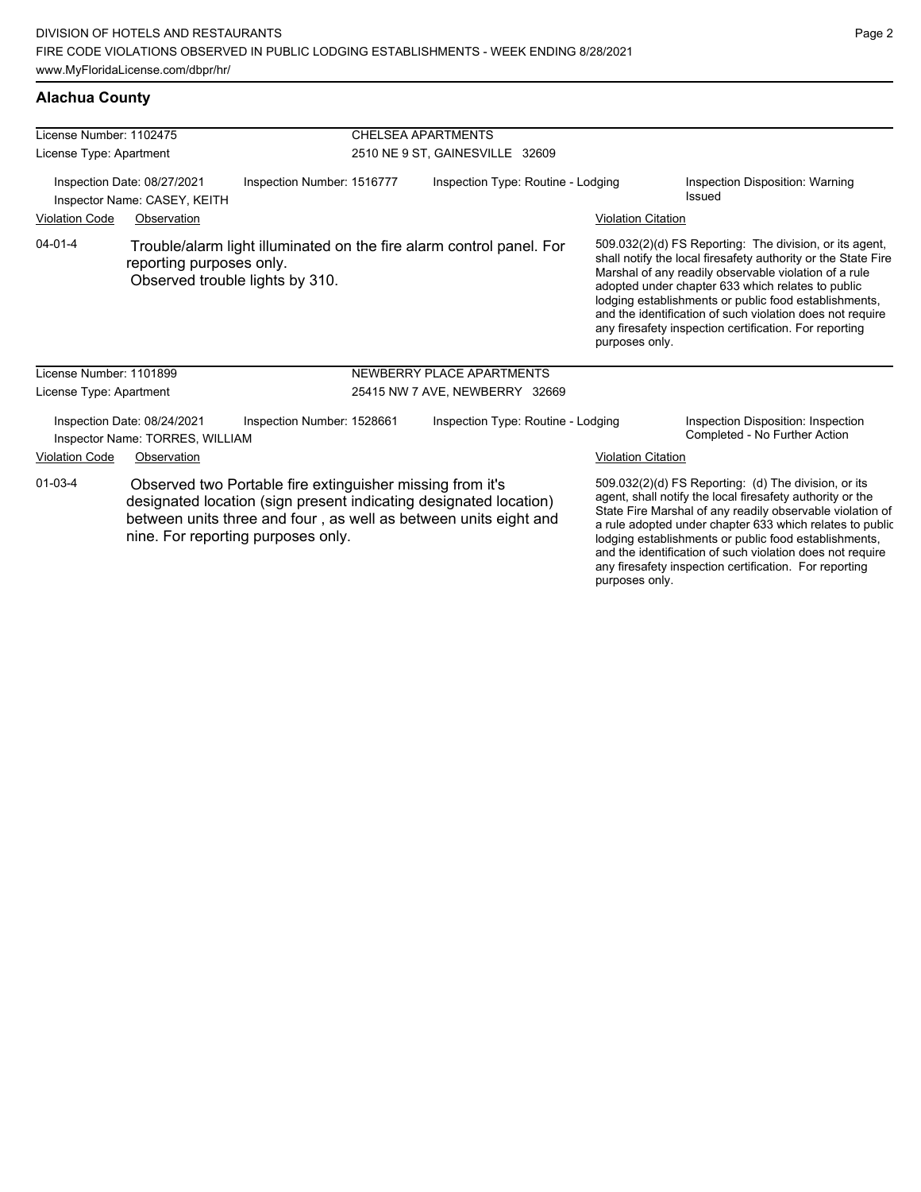### **Alachua County**

| License Number: 1102475                                                                                                                                                                                                                                   |                                                                |                                                                                                         | <b>CHELSEA APARTMENTS</b>                    |                           |                                                                                                                                                                                                                                                                                                                                                                                                                        |  |  |
|-----------------------------------------------------------------------------------------------------------------------------------------------------------------------------------------------------------------------------------------------------------|----------------------------------------------------------------|---------------------------------------------------------------------------------------------------------|----------------------------------------------|---------------------------|------------------------------------------------------------------------------------------------------------------------------------------------------------------------------------------------------------------------------------------------------------------------------------------------------------------------------------------------------------------------------------------------------------------------|--|--|
| License Type: Apartment                                                                                                                                                                                                                                   |                                                                |                                                                                                         | 2510 NE 9 ST, GAINESVILLE 32609              |                           |                                                                                                                                                                                                                                                                                                                                                                                                                        |  |  |
|                                                                                                                                                                                                                                                           | Inspection Date: 08/27/2021<br>Inspector Name: CASEY, KEITH    | Inspection Number: 1516777                                                                              | Inspection Type: Routine - Lodging<br>Issued |                           | Inspection Disposition: Warning                                                                                                                                                                                                                                                                                                                                                                                        |  |  |
| Violation Code                                                                                                                                                                                                                                            | Observation                                                    |                                                                                                         |                                              | <b>Violation Citation</b> |                                                                                                                                                                                                                                                                                                                                                                                                                        |  |  |
| $04 - 01 - 4$                                                                                                                                                                                                                                             | reporting purposes only.                                       | Trouble/alarm light illuminated on the fire alarm control panel. For<br>Observed trouble lights by 310. |                                              | purposes only.            | 509.032(2)(d) FS Reporting: The division, or its agent,<br>shall notify the local firesafety authority or the State Fire<br>Marshal of any readily observable violation of a rule<br>adopted under chapter 633 which relates to public<br>lodging establishments or public food establishments,<br>and the identification of such violation does not require<br>any firesafety inspection certification. For reporting |  |  |
| License Number: 1101899                                                                                                                                                                                                                                   |                                                                |                                                                                                         | NEWBERRY PLACE APARTMENTS                    |                           |                                                                                                                                                                                                                                                                                                                                                                                                                        |  |  |
| License Type: Apartment                                                                                                                                                                                                                                   |                                                                |                                                                                                         | 25415 NW 7 AVE, NEWBERRY 32669               |                           |                                                                                                                                                                                                                                                                                                                                                                                                                        |  |  |
|                                                                                                                                                                                                                                                           | Inspection Date: 08/24/2021<br>Inspector Name: TORRES, WILLIAM | Inspection Number: 1528661                                                                              | Inspection Type: Routine - Lodging           |                           | Inspection Disposition: Inspection<br>Completed - No Further Action                                                                                                                                                                                                                                                                                                                                                    |  |  |
| <b>Violation Code</b>                                                                                                                                                                                                                                     | Observation                                                    |                                                                                                         |                                              | <b>Violation Citation</b> |                                                                                                                                                                                                                                                                                                                                                                                                                        |  |  |
| $01 - 03 - 4$<br>Observed two Portable fire extinguisher missing from it's<br>designated location (sign present indicating designated location)<br>between units three and four, as well as between units eight and<br>nine. For reporting purposes only. |                                                                |                                                                                                         |                                              |                           | 509.032(2)(d) FS Reporting: (d) The division, or its<br>agent, shall notify the local firesafety authority or the<br>State Fire Marshal of any readily observable violation of<br>a rule adopted under chapter 633 which relates to public<br>lodging establishments or public food establishments,<br>and the identification of such violation does not require                                                       |  |  |

any firesafety inspection certification. For reporting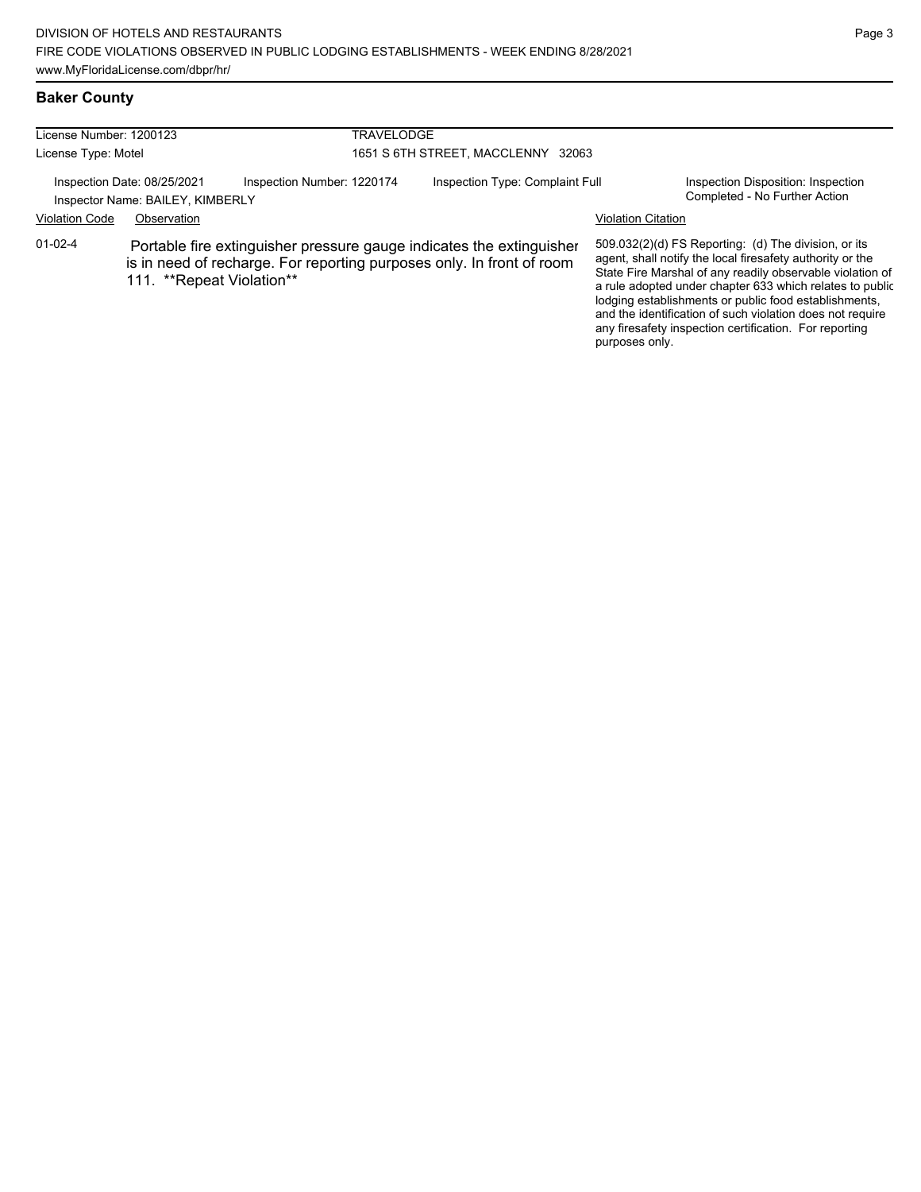any firesafety inspection certification. For reporting

purposes only.

## **Baker County**

| License Number: 1200123                                         |                           |                                                                                                                                               | TRAVELODGE                         |                           |                                                                                                                                                                                                                                                                                                                                                                  |  |  |
|-----------------------------------------------------------------|---------------------------|-----------------------------------------------------------------------------------------------------------------------------------------------|------------------------------------|---------------------------|------------------------------------------------------------------------------------------------------------------------------------------------------------------------------------------------------------------------------------------------------------------------------------------------------------------------------------------------------------------|--|--|
| License Type: Motel                                             |                           |                                                                                                                                               | 1651 S 6TH STREET, MACCLENNY 32063 |                           |                                                                                                                                                                                                                                                                                                                                                                  |  |  |
| Inspection Date: 08/25/2021<br>Inspector Name: BAILEY, KIMBERLY |                           | Inspection Number: 1220174                                                                                                                    | Inspection Type: Complaint Full    |                           | Inspection Disposition: Inspection<br>Completed - No Further Action                                                                                                                                                                                                                                                                                              |  |  |
| <b>Violation Code</b>                                           | Observation               |                                                                                                                                               |                                    | <b>Violation Citation</b> |                                                                                                                                                                                                                                                                                                                                                                  |  |  |
| $01 - 02 - 4$                                                   | 111. **Repeat Violation** | Portable fire extinguisher pressure gauge indicates the extinguisher<br>is in need of recharge. For reporting purposes only. In front of room |                                    |                           | 509.032(2)(d) FS Reporting: (d) The division, or its<br>agent, shall notify the local firesafety authority or the<br>State Fire Marshal of any readily observable violation of<br>a rule adopted under chapter 633 which relates to public<br>lodging establishments or public food establishments,<br>and the identification of such violation does not require |  |  |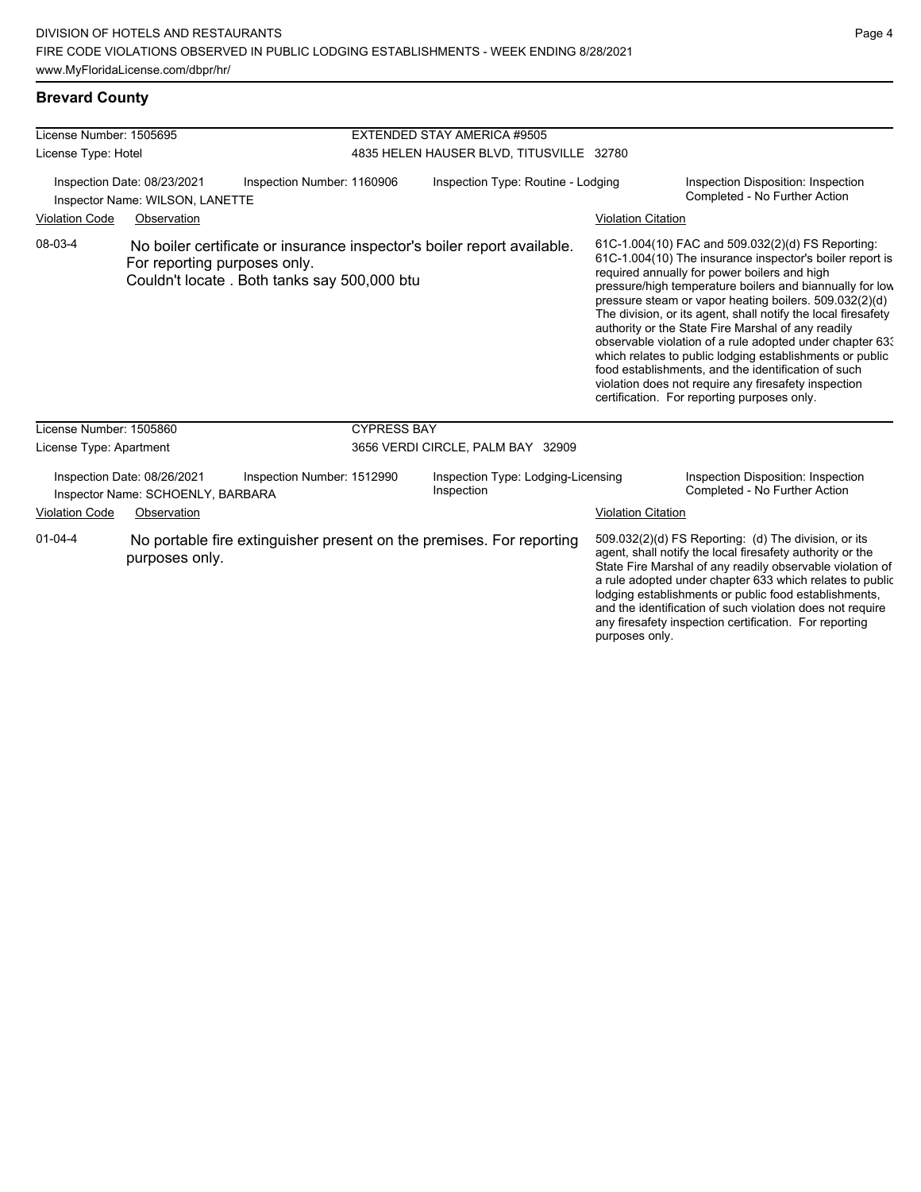## **Brevard County**

| License Number: 1505695<br>License Type: Hotel |                                                                                                                                                         | <b>EXTENDED STAY AMERICA #9505</b><br>4835 HELEN HAUSER BLVD, TITUSVILLE 32780 |                                                  |                           |                                                                                                                                                                                                                                                                                                                                                                                                                                                                                                                                                                                                                                                                                                  |
|------------------------------------------------|---------------------------------------------------------------------------------------------------------------------------------------------------------|--------------------------------------------------------------------------------|--------------------------------------------------|---------------------------|--------------------------------------------------------------------------------------------------------------------------------------------------------------------------------------------------------------------------------------------------------------------------------------------------------------------------------------------------------------------------------------------------------------------------------------------------------------------------------------------------------------------------------------------------------------------------------------------------------------------------------------------------------------------------------------------------|
|                                                | Inspection Date: 08/23/2021<br>Inspection Number: 1160906<br>Inspector Name: WILSON, LANETTE                                                            |                                                                                | Inspection Type: Routine - Lodging               |                           | Inspection Disposition: Inspection<br>Completed - No Further Action                                                                                                                                                                                                                                                                                                                                                                                                                                                                                                                                                                                                                              |
| <b>Violation Code</b>                          | Observation                                                                                                                                             |                                                                                |                                                  | <b>Violation Citation</b> |                                                                                                                                                                                                                                                                                                                                                                                                                                                                                                                                                                                                                                                                                                  |
| 08-03-4                                        | No boiler certificate or insurance inspector's boiler report available.<br>For reporting purposes only.<br>Couldn't locate . Both tanks say 500,000 btu |                                                                                |                                                  |                           | 61C-1.004(10) FAC and 509.032(2)(d) FS Reporting:<br>61C-1.004(10) The insurance inspector's boiler report is<br>required annually for power boilers and high<br>pressure/high temperature boilers and biannually for low<br>pressure steam or vapor heating boilers. 509.032(2)(d)<br>The division, or its agent, shall notify the local firesafety<br>authority or the State Fire Marshal of any readily<br>observable violation of a rule adopted under chapter 63:<br>which relates to public lodging establishments or public<br>food establishments, and the identification of such<br>violation does not require any firesafety inspection<br>certification. For reporting purposes only. |
| License Number: 1505860                        |                                                                                                                                                         | <b>CYPRESS BAY</b>                                                             |                                                  |                           |                                                                                                                                                                                                                                                                                                                                                                                                                                                                                                                                                                                                                                                                                                  |
| License Type: Apartment                        |                                                                                                                                                         |                                                                                | 3656 VERDI CIRCLE, PALM BAY 32909                |                           |                                                                                                                                                                                                                                                                                                                                                                                                                                                                                                                                                                                                                                                                                                  |
|                                                | Inspection Date: 08/26/2021<br>Inspection Number: 1512990<br>Inspector Name: SCHOENLY, BARBARA                                                          |                                                                                | Inspection Type: Lodging-Licensing<br>Inspection |                           | Inspection Disposition: Inspection<br>Completed - No Further Action                                                                                                                                                                                                                                                                                                                                                                                                                                                                                                                                                                                                                              |
| <b>Violation Code</b>                          | Observation                                                                                                                                             |                                                                                |                                                  | <b>Violation Citation</b> |                                                                                                                                                                                                                                                                                                                                                                                                                                                                                                                                                                                                                                                                                                  |
| $01 - 04 - 4$                                  | No portable fire extinguisher present on the premises. For reporting<br>purposes only.                                                                  |                                                                                |                                                  | purposes only.            | 509.032(2)(d) FS Reporting: (d) The division, or its<br>agent, shall notify the local firesafety authority or the<br>State Fire Marshal of any readily observable violation of<br>a rule adopted under chapter 633 which relates to public<br>lodging establishments or public food establishments,<br>and the identification of such violation does not require<br>any firesafety inspection certification. For reporting                                                                                                                                                                                                                                                                       |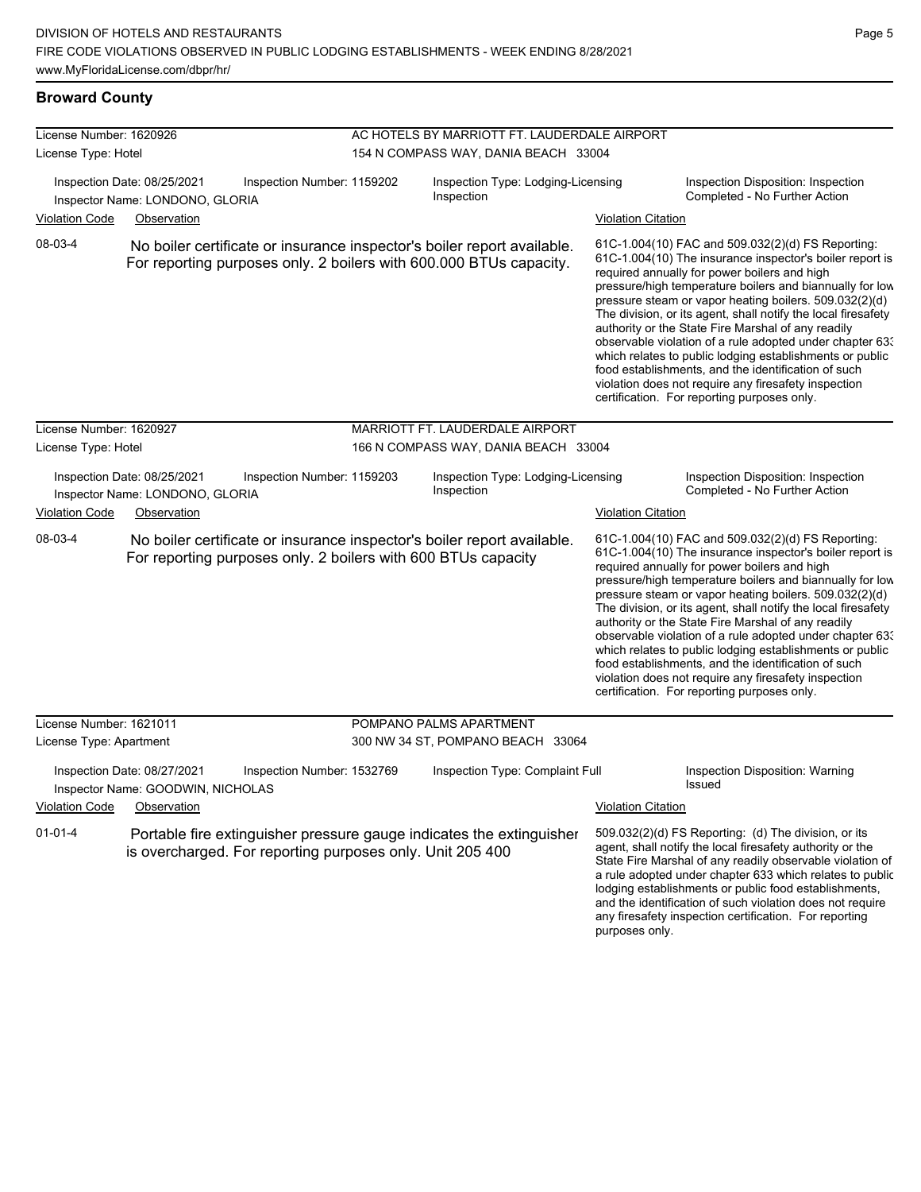**Broward County**

| License Number: 1620926                                                                      |                                                                  |                                                               |                                                  | AC HOTELS BY MARRIOTT FT. LAUDERDALE AIRPORT                                                                                                  |                                                                     |                                                                                                                                                                                                                                                                                                                                                                                                                                                                                                                                                                                                                                                                                                  |  |
|----------------------------------------------------------------------------------------------|------------------------------------------------------------------|---------------------------------------------------------------|--------------------------------------------------|-----------------------------------------------------------------------------------------------------------------------------------------------|---------------------------------------------------------------------|--------------------------------------------------------------------------------------------------------------------------------------------------------------------------------------------------------------------------------------------------------------------------------------------------------------------------------------------------------------------------------------------------------------------------------------------------------------------------------------------------------------------------------------------------------------------------------------------------------------------------------------------------------------------------------------------------|--|
| License Type: Hotel                                                                          |                                                                  |                                                               | 154 N COMPASS WAY, DANIA BEACH 33004             |                                                                                                                                               |                                                                     |                                                                                                                                                                                                                                                                                                                                                                                                                                                                                                                                                                                                                                                                                                  |  |
|                                                                                              | Inspection Date: 08/25/2021<br>Inspector Name: LONDONO, GLORIA   | Inspection Number: 1159202                                    | Inspection Type: Lodging-Licensing<br>Inspection |                                                                                                                                               |                                                                     | Inspection Disposition: Inspection<br>Completed - No Further Action                                                                                                                                                                                                                                                                                                                                                                                                                                                                                                                                                                                                                              |  |
| <b>Violation Code</b>                                                                        | Observation                                                      |                                                               |                                                  |                                                                                                                                               | <b>Violation Citation</b>                                           |                                                                                                                                                                                                                                                                                                                                                                                                                                                                                                                                                                                                                                                                                                  |  |
| 08-03-4                                                                                      |                                                                  |                                                               |                                                  | No boiler certificate or insurance inspector's boiler report available.<br>For reporting purposes only. 2 boilers with 600.000 BTUs capacity. |                                                                     | 61C-1.004(10) FAC and 509.032(2)(d) FS Reporting:<br>61C-1.004(10) The insurance inspector's boiler report is<br>required annually for power boilers and high<br>pressure/high temperature boilers and biannually for low<br>pressure steam or vapor heating boilers. 509.032(2)(d)<br>The division, or its agent, shall notify the local firesafety<br>authority or the State Fire Marshal of any readily<br>observable violation of a rule adopted under chapter 63.<br>which relates to public lodging establishments or public<br>food establishments, and the identification of such<br>violation does not require any firesafety inspection<br>certification. For reporting purposes only. |  |
| License Number: 1620927<br>License Type: Hotel                                               |                                                                  |                                                               |                                                  | MARRIOTT FT. LAUDERDALE AIRPORT<br>166 N COMPASS WAY, DANIA BEACH 33004                                                                       |                                                                     |                                                                                                                                                                                                                                                                                                                                                                                                                                                                                                                                                                                                                                                                                                  |  |
| Inspection Date: 08/25/2021<br>Inspection Number: 1159203<br>Inspector Name: LONDONO, GLORIA |                                                                  |                                                               | Inspection Type: Lodging-Licensing<br>Inspection |                                                                                                                                               | Inspection Disposition: Inspection<br>Completed - No Further Action |                                                                                                                                                                                                                                                                                                                                                                                                                                                                                                                                                                                                                                                                                                  |  |
| <b>Violation Code</b>                                                                        | Observation                                                      |                                                               |                                                  |                                                                                                                                               | <b>Violation Citation</b>                                           |                                                                                                                                                                                                                                                                                                                                                                                                                                                                                                                                                                                                                                                                                                  |  |
| 08-03-4                                                                                      |                                                                  | For reporting purposes only. 2 boilers with 600 BTUs capacity |                                                  | No boiler certificate or insurance inspector's boiler report available.                                                                       |                                                                     | 61C-1.004(10) FAC and 509.032(2)(d) FS Reporting:<br>61C-1.004(10) The insurance inspector's boiler report is<br>required annually for power boilers and high<br>pressure/high temperature boilers and biannually for low<br>pressure steam or vapor heating boilers. 509.032(2)(d)<br>The division, or its agent, shall notify the local firesafety<br>authority or the State Fire Marshal of any readily<br>observable violation of a rule adopted under chapter 63.<br>which relates to public lodging establishments or public<br>food establishments, and the identification of such<br>violation does not require any firesafety inspection<br>certification. For reporting purposes only. |  |
| License Number: 1621011                                                                      |                                                                  |                                                               |                                                  | POMPANO PALMS APARTMENT                                                                                                                       |                                                                     |                                                                                                                                                                                                                                                                                                                                                                                                                                                                                                                                                                                                                                                                                                  |  |
| License Type: Apartment                                                                      |                                                                  |                                                               |                                                  | 300 NW 34 ST, POMPANO BEACH 33064                                                                                                             |                                                                     |                                                                                                                                                                                                                                                                                                                                                                                                                                                                                                                                                                                                                                                                                                  |  |
|                                                                                              | Inspection Date: 08/27/2021<br>Inspector Name: GOODWIN, NICHOLAS | Inspection Number: 1532769                                    |                                                  | <b>Inspection Type: Complaint Full</b>                                                                                                        |                                                                     | Inspection Disposition: Warning<br>Issued                                                                                                                                                                                                                                                                                                                                                                                                                                                                                                                                                                                                                                                        |  |
| <b>Violation Code</b>                                                                        | Observation                                                      |                                                               |                                                  |                                                                                                                                               | <b>Violation Citation</b>                                           |                                                                                                                                                                                                                                                                                                                                                                                                                                                                                                                                                                                                                                                                                                  |  |
| 01-01-4                                                                                      |                                                                  | is overcharged. For reporting purposes only. Unit 205 400     |                                                  | Portable fire extinguisher pressure gauge indicates the extinguisher                                                                          |                                                                     | 509.032(2)(d) FS Reporting: (d) The division, or its<br>agent, shall notify the local firesafety authority or the<br>State Fire Marshal of any readily observable violation of                                                                                                                                                                                                                                                                                                                                                                                                                                                                                                                   |  |

a rule adopted under chapter 633 which relates to public lodging establishments or public food establishments, and the identification of such violation does not require any firesafety inspection certification. For reporting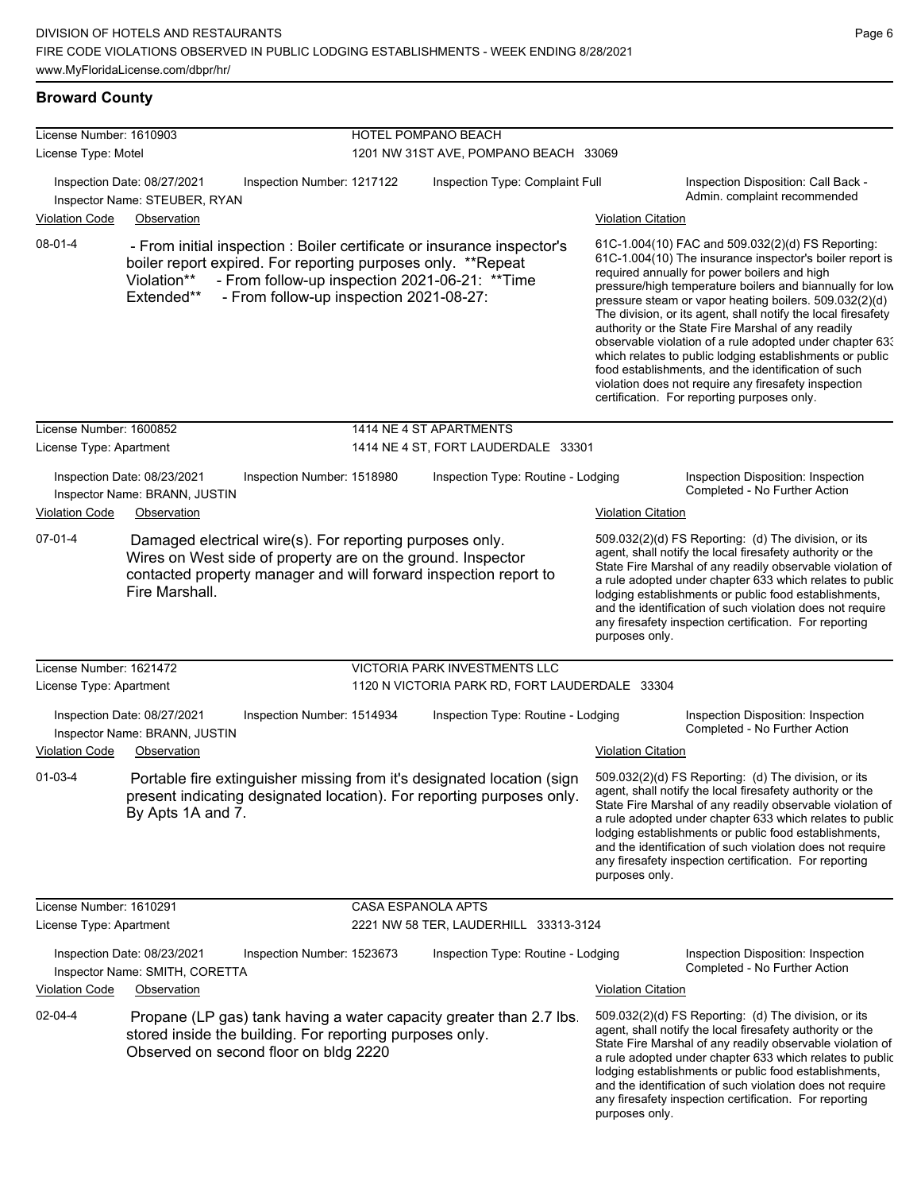## **Broward County**

| License Number: 1610903 |                                                                                                                                                                                                               |                                         | HOTEL POMPANO BEACH                             |                           |                                                                                                                                                                                                                                                                                                                                                                                                                                                                                                                                                                                                                                                                                                  |
|-------------------------|---------------------------------------------------------------------------------------------------------------------------------------------------------------------------------------------------------------|-----------------------------------------|-------------------------------------------------|---------------------------|--------------------------------------------------------------------------------------------------------------------------------------------------------------------------------------------------------------------------------------------------------------------------------------------------------------------------------------------------------------------------------------------------------------------------------------------------------------------------------------------------------------------------------------------------------------------------------------------------------------------------------------------------------------------------------------------------|
| License Type: Motel     |                                                                                                                                                                                                               |                                         | 1201 NW 31ST AVE, POMPANO BEACH 33069           |                           |                                                                                                                                                                                                                                                                                                                                                                                                                                                                                                                                                                                                                                                                                                  |
|                         | Inspection Date: 08/27/2021<br>Inspector Name: STEUBER, RYAN                                                                                                                                                  | Inspection Number: 1217122              | Inspection Type: Complaint Full                 |                           | Inspection Disposition: Call Back -<br>Admin. complaint recommended                                                                                                                                                                                                                                                                                                                                                                                                                                                                                                                                                                                                                              |
| <b>Violation Code</b>   | Observation                                                                                                                                                                                                   |                                         |                                                 | <b>Violation Citation</b> |                                                                                                                                                                                                                                                                                                                                                                                                                                                                                                                                                                                                                                                                                                  |
| 08-01-4                 | - From initial inspection : Boiler certificate or insurance inspector's<br>boiler report expired. For reporting purposes only. **Repeat<br>Violation**<br>Extended**                                          | - From follow-up inspection 2021-08-27: | - From follow-up inspection 2021-06-21: ** Time |                           | 61C-1.004(10) FAC and 509.032(2)(d) FS Reporting:<br>61C-1.004(10) The insurance inspector's boiler report is<br>required annually for power boilers and high<br>pressure/high temperature boilers and biannually for low<br>pressure steam or vapor heating boilers. 509.032(2)(d)<br>The division, or its agent, shall notify the local firesafety<br>authority or the State Fire Marshal of any readily<br>observable violation of a rule adopted under chapter 63.<br>which relates to public lodging establishments or public<br>food establishments, and the identification of such<br>violation does not require any firesafety inspection<br>certification. For reporting purposes only. |
| License Number: 1600852 |                                                                                                                                                                                                               |                                         | 1414 NE 4 ST APARTMENTS                         |                           |                                                                                                                                                                                                                                                                                                                                                                                                                                                                                                                                                                                                                                                                                                  |
| License Type: Apartment |                                                                                                                                                                                                               |                                         | 1414 NE 4 ST, FORT LAUDERDALE 33301             |                           |                                                                                                                                                                                                                                                                                                                                                                                                                                                                                                                                                                                                                                                                                                  |
|                         | Inspection Date: 08/23/2021<br>Inspector Name: BRANN, JUSTIN                                                                                                                                                  | Inspection Number: 1518980              | Inspection Type: Routine - Lodging              |                           | Inspection Disposition: Inspection<br>Completed - No Further Action                                                                                                                                                                                                                                                                                                                                                                                                                                                                                                                                                                                                                              |
| <b>Violation Code</b>   | Observation                                                                                                                                                                                                   |                                         |                                                 | <b>Violation Citation</b> |                                                                                                                                                                                                                                                                                                                                                                                                                                                                                                                                                                                                                                                                                                  |
| 07-01-4                 | Damaged electrical wire(s). For reporting purposes only.<br>Wires on West side of property are on the ground. Inspector<br>contacted property manager and will forward inspection report to<br>Fire Marshall. |                                         |                                                 | purposes only.            | 509.032(2)(d) FS Reporting: (d) The division, or its<br>agent, shall notify the local firesafety authority or the<br>State Fire Marshal of any readily observable violation of<br>a rule adopted under chapter 633 which relates to public<br>lodging establishments or public food establishments,<br>and the identification of such violation does not require<br>any firesafety inspection certification. For reporting                                                                                                                                                                                                                                                                       |
| License Number: 1621472 |                                                                                                                                                                                                               |                                         | VICTORIA PARK INVESTMENTS LLC                   |                           |                                                                                                                                                                                                                                                                                                                                                                                                                                                                                                                                                                                                                                                                                                  |
| License Type: Apartment |                                                                                                                                                                                                               |                                         | 1120 N VICTORIA PARK RD, FORT LAUDERDALE 33304  |                           |                                                                                                                                                                                                                                                                                                                                                                                                                                                                                                                                                                                                                                                                                                  |
| <b>Violation Code</b>   | Inspection Date: 08/27/2021<br>Inspector Name: BRANN, JUSTIN<br>Observation                                                                                                                                   | Inspection Number: 1514934              | Inspection Type: Routine - Lodging              | <b>Violation Citation</b> | Inspection Disposition: Inspection<br>Completed - No Further Action                                                                                                                                                                                                                                                                                                                                                                                                                                                                                                                                                                                                                              |
| 01-03-4                 | Portable fire extinguisher missing from it's designated location (sign<br>present indicating designated location). For reporting purposes only.<br>By Apts 1A and 7.                                          |                                         |                                                 | purposes only.            | 509.032(2)(d) FS Reporting: (d) The division, or its<br>agent, shall notify the local firesafety authority or the<br>State Fire Marshal of any readily observable violation of<br>a rule adopted under chapter 633 which relates to public<br>lodging establishments or public food establishments,<br>and the identification of such violation does not require<br>any firesafety inspection certification. For reporting                                                                                                                                                                                                                                                                       |
| License Number: 1610291 |                                                                                                                                                                                                               | <b>CASA ESPANOLA APTS</b>               |                                                 |                           |                                                                                                                                                                                                                                                                                                                                                                                                                                                                                                                                                                                                                                                                                                  |
| License Type: Apartment |                                                                                                                                                                                                               |                                         | 2221 NW 58 TER, LAUDERHILL 33313-3124           |                           |                                                                                                                                                                                                                                                                                                                                                                                                                                                                                                                                                                                                                                                                                                  |
|                         | Inspection Date: 08/23/2021<br>Inspector Name: SMITH, CORETTA                                                                                                                                                 | Inspection Number: 1523673              | Inspection Type: Routine - Lodging              |                           | Inspection Disposition: Inspection<br>Completed - No Further Action                                                                                                                                                                                                                                                                                                                                                                                                                                                                                                                                                                                                                              |
| <b>Violation Code</b>   | Observation                                                                                                                                                                                                   |                                         |                                                 | <b>Violation Citation</b> |                                                                                                                                                                                                                                                                                                                                                                                                                                                                                                                                                                                                                                                                                                  |
| 02-04-4                 | Propane (LP gas) tank having a water capacity greater than 2.7 lbs.<br>stored inside the building. For reporting purposes only.<br>Observed on second floor on bldg 2220                                      |                                         |                                                 | purposes only.            | 509.032(2)(d) FS Reporting: (d) The division, or its<br>agent, shall notify the local firesafety authority or the<br>State Fire Marshal of any readily observable violation of<br>a rule adopted under chapter 633 which relates to public<br>lodging establishments or public food establishments,<br>and the identification of such violation does not require<br>any firesafety inspection certification. For reporting                                                                                                                                                                                                                                                                       |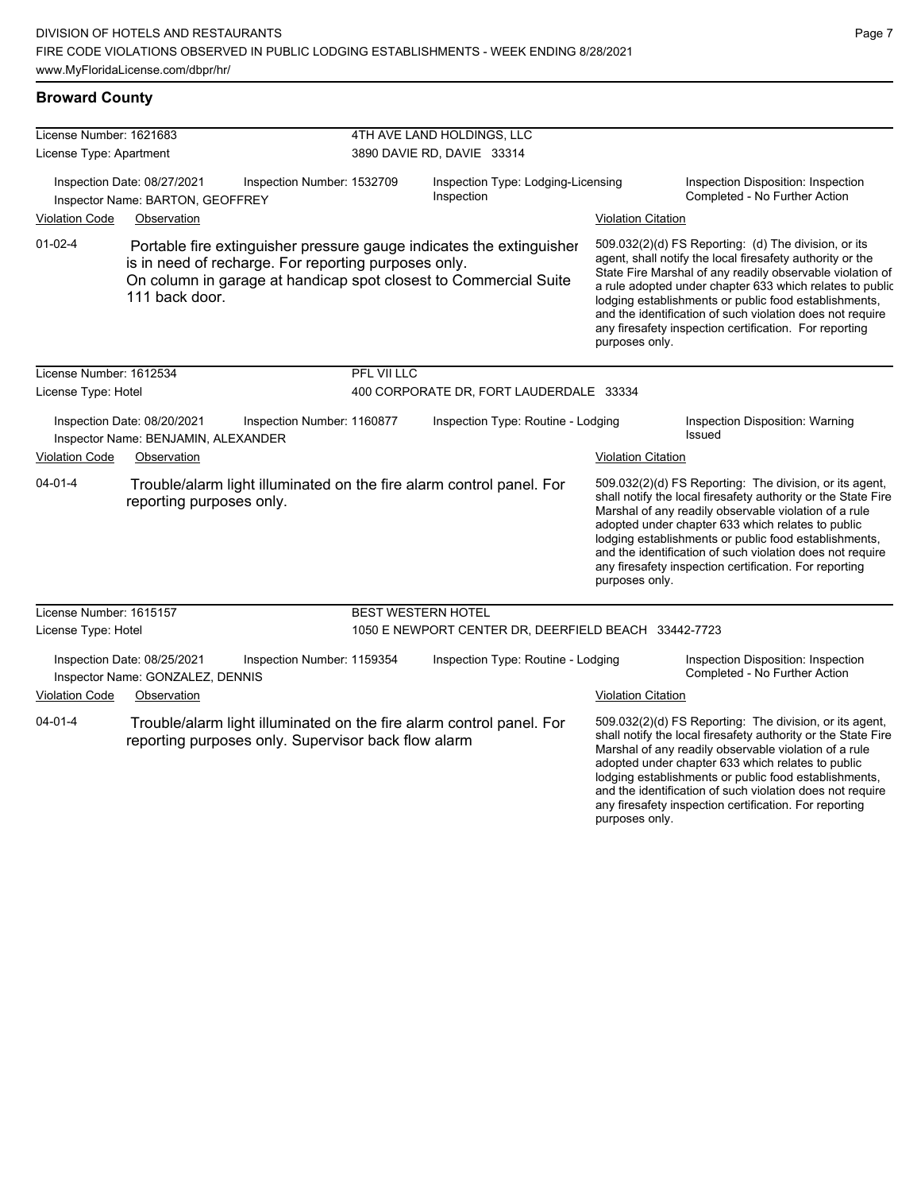| License Number: 1621683                                                                          |                                                                 |                                                      |                                    | 4TH AVE LAND HOLDINGS, LLC                                                                                                               |                           |                                                                                                                                                                                                                                                                                                                                                                                                                            |  |
|--------------------------------------------------------------------------------------------------|-----------------------------------------------------------------|------------------------------------------------------|------------------------------------|------------------------------------------------------------------------------------------------------------------------------------------|---------------------------|----------------------------------------------------------------------------------------------------------------------------------------------------------------------------------------------------------------------------------------------------------------------------------------------------------------------------------------------------------------------------------------------------------------------------|--|
| License Type: Apartment                                                                          |                                                                 |                                                      | 3890 DAVIE RD, DAVIE 33314         |                                                                                                                                          |                           |                                                                                                                                                                                                                                                                                                                                                                                                                            |  |
|                                                                                                  | Inspection Date: 08/27/2021<br>Inspector Name: BARTON, GEOFFREY | Inspection Number: 1532709                           |                                    | Inspection Type: Lodging-Licensing<br>Inspection                                                                                         |                           | Inspection Disposition: Inspection<br>Completed - No Further Action                                                                                                                                                                                                                                                                                                                                                        |  |
| <b>Violation Code</b>                                                                            | Observation                                                     |                                                      |                                    |                                                                                                                                          | <b>Violation Citation</b> |                                                                                                                                                                                                                                                                                                                                                                                                                            |  |
| $01 - 02 - 4$                                                                                    | 111 back door.                                                  | is in need of recharge. For reporting purposes only. |                                    | Portable fire extinguisher pressure gauge indicates the extinguisher<br>On column in garage at handicap spot closest to Commercial Suite | purposes only.            | 509.032(2)(d) FS Reporting: (d) The division, or its<br>agent, shall notify the local firesafety authority or the<br>State Fire Marshal of any readily observable violation of<br>a rule adopted under chapter 633 which relates to public<br>lodging establishments or public food establishments,<br>and the identification of such violation does not require<br>any firesafety inspection certification. For reporting |  |
| License Number: 1612534                                                                          |                                                                 |                                                      | PFL VII LLC                        |                                                                                                                                          |                           |                                                                                                                                                                                                                                                                                                                                                                                                                            |  |
| License Type: Hotel                                                                              |                                                                 |                                                      |                                    | 400 CORPORATE DR, FORT LAUDERDALE 33334                                                                                                  |                           |                                                                                                                                                                                                                                                                                                                                                                                                                            |  |
| Inspection Date: 08/20/2021<br>Inspection Number: 1160877<br>Inspector Name: BENJAMIN, ALEXANDER |                                                                 |                                                      | Inspection Type: Routine - Lodging | Inspection Disposition: Warning<br><b>Issued</b>                                                                                         |                           |                                                                                                                                                                                                                                                                                                                                                                                                                            |  |
| <b>Violation Code</b>                                                                            | Observation                                                     |                                                      |                                    |                                                                                                                                          | <b>Violation Citation</b> |                                                                                                                                                                                                                                                                                                                                                                                                                            |  |
| $04 - 01 - 4$                                                                                    | reporting purposes only.                                        |                                                      |                                    | Trouble/alarm light illuminated on the fire alarm control panel. For                                                                     | purposes only.            | 509.032(2)(d) FS Reporting: The division, or its agent,<br>shall notify the local firesafety authority or the State Fire<br>Marshal of any readily observable violation of a rule<br>adopted under chapter 633 which relates to public<br>lodging establishments or public food establishments,<br>and the identification of such violation does not require<br>any firesafety inspection certification. For reporting     |  |
| License Number: 1615157                                                                          |                                                                 |                                                      | BEST WESTERN HOTEL                 |                                                                                                                                          |                           |                                                                                                                                                                                                                                                                                                                                                                                                                            |  |
| License Type: Hotel                                                                              |                                                                 |                                                      |                                    | 1050 E NEWPORT CENTER DR, DEERFIELD BEACH 33442-7723                                                                                     |                           |                                                                                                                                                                                                                                                                                                                                                                                                                            |  |
|                                                                                                  | Inspection Date: 08/25/2021<br>Inspector Name: GONZALEZ, DENNIS | Inspection Number: 1159354                           |                                    | Inspection Type: Routine - Lodging                                                                                                       |                           | Inspection Disposition: Inspection<br>Completed - No Further Action                                                                                                                                                                                                                                                                                                                                                        |  |
| Violation Code                                                                                   | Observation                                                     |                                                      |                                    |                                                                                                                                          | <b>Violation Citation</b> |                                                                                                                                                                                                                                                                                                                                                                                                                            |  |
| $04 - 01 - 4$                                                                                    |                                                                 | reporting purposes only. Supervisor back flow alarm  |                                    | Trouble/alarm light illuminated on the fire alarm control panel. For                                                                     |                           | 509.032(2)(d) FS Reporting: The division, or its agent,<br>shall notify the local firesafety authority or the State Fire<br>Marshal of any readily observable violation of a rule<br>adopted under chapter 633 which relates to public<br>lodging establishments or public food establishments,<br>and the identification of such violation does not require                                                               |  |

any firesafety inspection certification. For reporting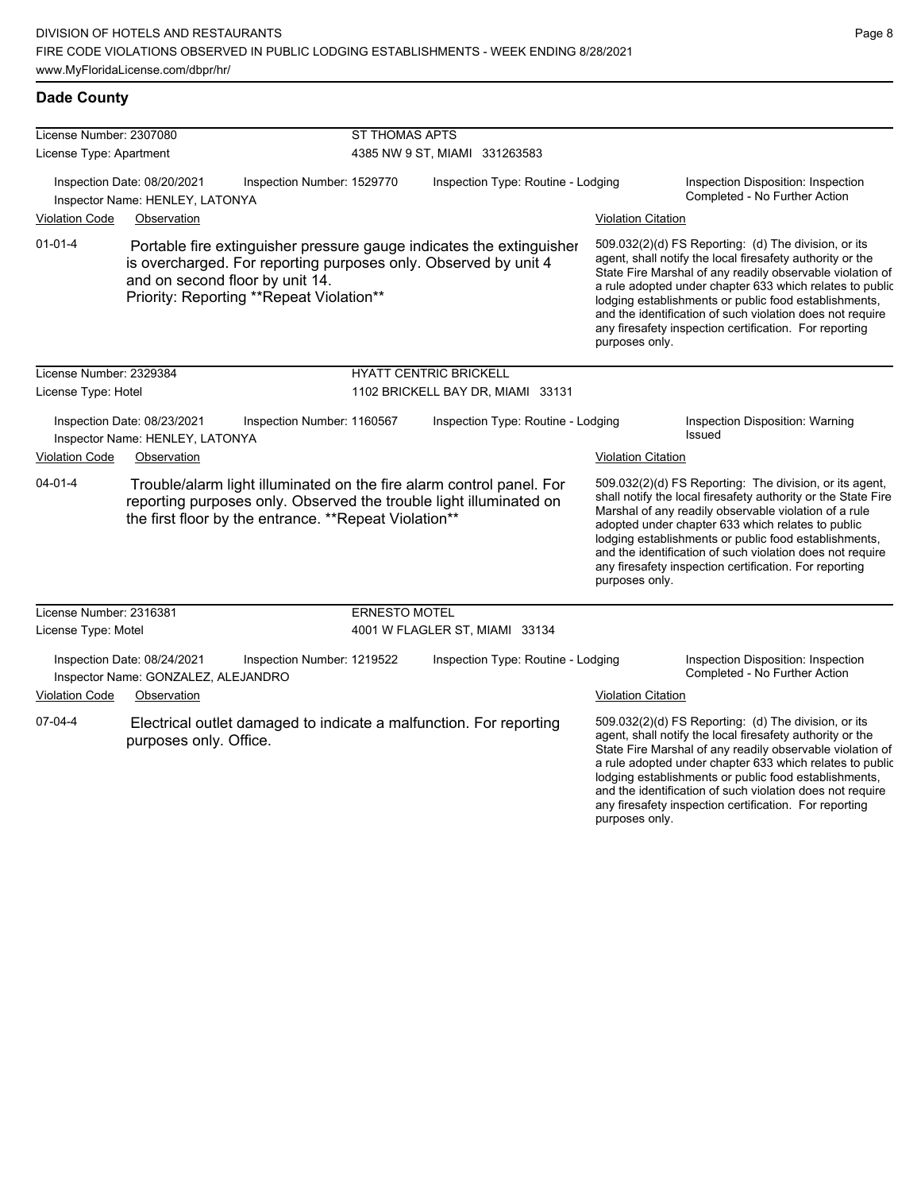| License Number: 2307080<br>License Type: Apartment                                           |                                                                    |                                                                             | <b>ST THOMAS APTS</b><br>4385 NW 9 ST, MIAMI 331263583 |                                                                                                                                            |                                                                                                                                                                                                                                                                                                                                                                                                                                              |                                                                                                                                                                                                                                                                                                                                                                                                                        |  |
|----------------------------------------------------------------------------------------------|--------------------------------------------------------------------|-----------------------------------------------------------------------------|--------------------------------------------------------|--------------------------------------------------------------------------------------------------------------------------------------------|----------------------------------------------------------------------------------------------------------------------------------------------------------------------------------------------------------------------------------------------------------------------------------------------------------------------------------------------------------------------------------------------------------------------------------------------|------------------------------------------------------------------------------------------------------------------------------------------------------------------------------------------------------------------------------------------------------------------------------------------------------------------------------------------------------------------------------------------------------------------------|--|
|                                                                                              |                                                                    |                                                                             |                                                        |                                                                                                                                            |                                                                                                                                                                                                                                                                                                                                                                                                                                              |                                                                                                                                                                                                                                                                                                                                                                                                                        |  |
| <b>Violation Code</b>                                                                        | Observation                                                        |                                                                             |                                                        |                                                                                                                                            | <b>Violation Citation</b>                                                                                                                                                                                                                                                                                                                                                                                                                    |                                                                                                                                                                                                                                                                                                                                                                                                                        |  |
| $01 - 01 - 4$                                                                                |                                                                    | and on second floor by unit 14.<br>Priority: Reporting **Repeat Violation** |                                                        | Portable fire extinguisher pressure gauge indicates the extinguisher<br>is overcharged. For reporting purposes only. Observed by unit 4    | 509.032(2)(d) FS Reporting: (d) The division, or its<br>agent, shall notify the local firesafety authority or the<br>State Fire Marshal of any readily observable violation of<br>a rule adopted under chapter 633 which relates to public<br>lodging establishments or public food establishments,<br>and the identification of such violation does not require<br>any firesafety inspection certification. For reporting<br>purposes only. |                                                                                                                                                                                                                                                                                                                                                                                                                        |  |
| License Number: 2329384                                                                      |                                                                    |                                                                             |                                                        | <b>HYATT CENTRIC BRICKELL</b>                                                                                                              |                                                                                                                                                                                                                                                                                                                                                                                                                                              |                                                                                                                                                                                                                                                                                                                                                                                                                        |  |
| License Type: Hotel                                                                          |                                                                    |                                                                             |                                                        | 1102 BRICKELL BAY DR, MIAMI 33131                                                                                                          |                                                                                                                                                                                                                                                                                                                                                                                                                                              |                                                                                                                                                                                                                                                                                                                                                                                                                        |  |
| Inspection Date: 08/23/2021<br>Inspection Number: 1160567<br>Inspector Name: HENLEY, LATONYA |                                                                    |                                                                             | Inspection Type: Routine - Lodging                     |                                                                                                                                            | Inspection Disposition: Warning<br><b>Issued</b>                                                                                                                                                                                                                                                                                                                                                                                             |                                                                                                                                                                                                                                                                                                                                                                                                                        |  |
| <b>Violation Code</b>                                                                        | Observation                                                        |                                                                             |                                                        |                                                                                                                                            | <b>Violation Citation</b>                                                                                                                                                                                                                                                                                                                                                                                                                    |                                                                                                                                                                                                                                                                                                                                                                                                                        |  |
| $04 - 01 - 4$                                                                                |                                                                    | the first floor by the entrance. **Repeat Violation**                       |                                                        | Trouble/alarm light illuminated on the fire alarm control panel. For<br>reporting purposes only. Observed the trouble light illuminated on | purposes only.                                                                                                                                                                                                                                                                                                                                                                                                                               | 509.032(2)(d) FS Reporting: The division, or its agent,<br>shall notify the local firesafety authority or the State Fire<br>Marshal of any readily observable violation of a rule<br>adopted under chapter 633 which relates to public<br>lodging establishments or public food establishments,<br>and the identification of such violation does not require<br>any firesafety inspection certification. For reporting |  |
| License Number: 2316381                                                                      |                                                                    |                                                                             | <b>ERNESTO MOTEL</b>                                   |                                                                                                                                            |                                                                                                                                                                                                                                                                                                                                                                                                                                              |                                                                                                                                                                                                                                                                                                                                                                                                                        |  |
| License Type: Motel                                                                          |                                                                    |                                                                             |                                                        | 4001 W FLAGLER ST, MIAMI 33134                                                                                                             |                                                                                                                                                                                                                                                                                                                                                                                                                                              |                                                                                                                                                                                                                                                                                                                                                                                                                        |  |
|                                                                                              | Inspection Date: 08/24/2021<br>Inspector Name: GONZALEZ, ALEJANDRO | Inspection Number: 1219522                                                  |                                                        | Inspection Type: Routine - Lodging                                                                                                         |                                                                                                                                                                                                                                                                                                                                                                                                                                              | Inspection Disposition: Inspection<br>Completed - No Further Action                                                                                                                                                                                                                                                                                                                                                    |  |
| <b>Violation Code</b>                                                                        | Observation                                                        |                                                                             |                                                        |                                                                                                                                            | <b>Violation Citation</b>                                                                                                                                                                                                                                                                                                                                                                                                                    |                                                                                                                                                                                                                                                                                                                                                                                                                        |  |
| $07 - 04 - 4$                                                                                | purposes only. Office.                                             |                                                                             |                                                        | Electrical outlet damaged to indicate a malfunction. For reporting                                                                         |                                                                                                                                                                                                                                                                                                                                                                                                                                              | 509.032(2)(d) FS Reporting: (d) The division, or its<br>agent, shall notify the local firesafety authority or the<br>State Fire Marshal of any readily observable violation of<br>a rule adopted under chapter 633 which relates to public<br>lodging establishments or public food establishments,<br>and the identification of such violation does not require                                                       |  |

any firesafety inspection certification. For reporting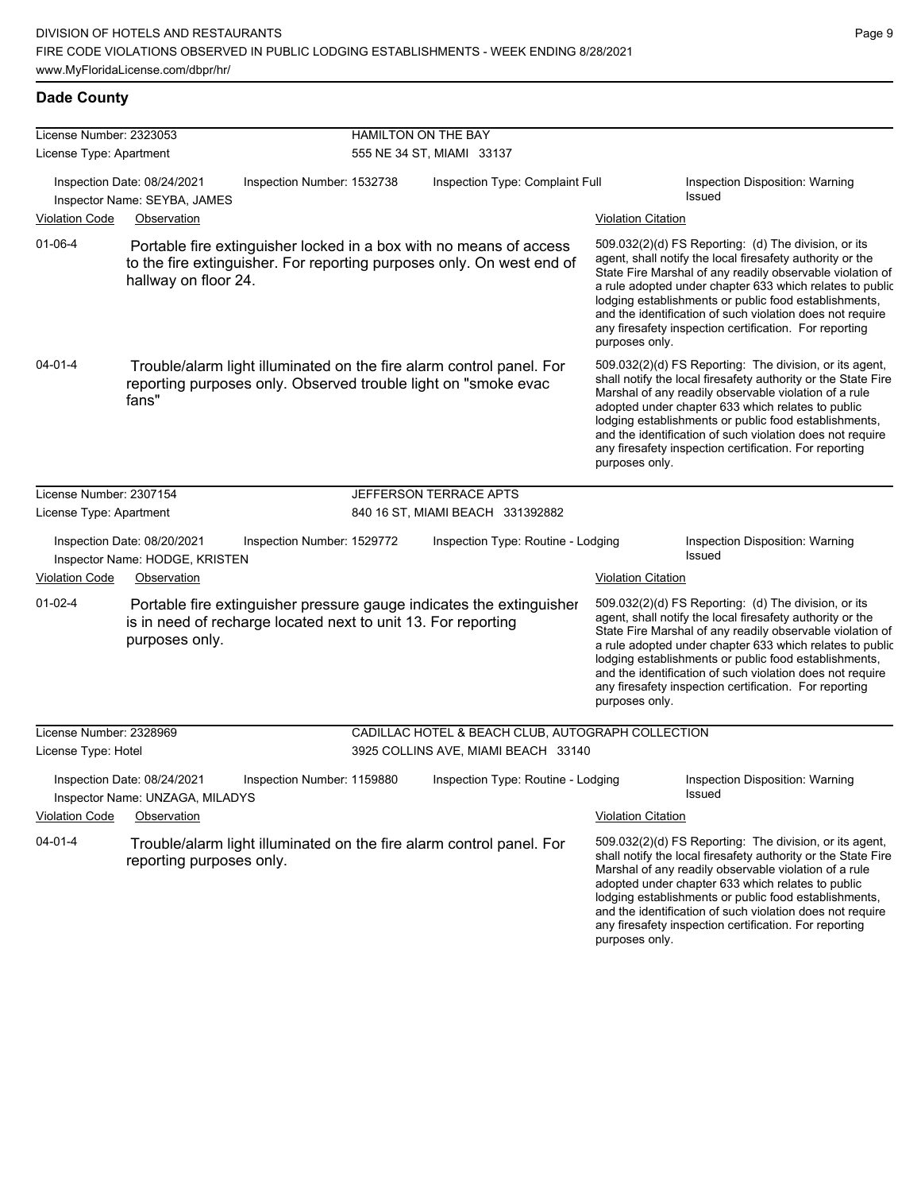| License Number: 2323053 |                                                                                                                                                                     | HAMILTON ON THE BAY                               |                           |                                                                                                                                                                                                                                                                                                                                                                                                                            |  |  |  |  |
|-------------------------|---------------------------------------------------------------------------------------------------------------------------------------------------------------------|---------------------------------------------------|---------------------------|----------------------------------------------------------------------------------------------------------------------------------------------------------------------------------------------------------------------------------------------------------------------------------------------------------------------------------------------------------------------------------------------------------------------------|--|--|--|--|
| License Type: Apartment |                                                                                                                                                                     | 555 NE 34 ST, MIAMI 33137                         |                           |                                                                                                                                                                                                                                                                                                                                                                                                                            |  |  |  |  |
|                         | Inspection Date: 08/24/2021<br>Inspection Number: 1532738<br>Inspector Name: SEYBA, JAMES                                                                           | Inspection Type: Complaint Full                   |                           | Inspection Disposition: Warning<br><b>Issued</b>                                                                                                                                                                                                                                                                                                                                                                           |  |  |  |  |
| <b>Violation Code</b>   | Observation                                                                                                                                                         |                                                   | <b>Violation Citation</b> |                                                                                                                                                                                                                                                                                                                                                                                                                            |  |  |  |  |
| $01 - 06 - 4$           | Portable fire extinguisher locked in a box with no means of access<br>to the fire extinguisher. For reporting purposes only. On west end of<br>hallway on floor 24. |                                                   | purposes only.            | 509.032(2)(d) FS Reporting: (d) The division, or its<br>agent, shall notify the local firesafety authority or the<br>State Fire Marshal of any readily observable violation of<br>a rule adopted under chapter 633 which relates to public<br>lodging establishments or public food establishments,<br>and the identification of such violation does not require<br>any firesafety inspection certification. For reporting |  |  |  |  |
| 04-01-4                 | Trouble/alarm light illuminated on the fire alarm control panel. For<br>reporting purposes only. Observed trouble light on "smoke evac<br>fans"                     |                                                   | purposes only.            | 509.032(2)(d) FS Reporting: The division, or its agent,<br>shall notify the local firesafety authority or the State Fire<br>Marshal of any readily observable violation of a rule<br>adopted under chapter 633 which relates to public<br>lodging establishments or public food establishments,<br>and the identification of such violation does not require<br>any firesafety inspection certification. For reporting     |  |  |  |  |
| License Number: 2307154 |                                                                                                                                                                     | JEFFERSON TERRACE APTS                            |                           |                                                                                                                                                                                                                                                                                                                                                                                                                            |  |  |  |  |
| License Type: Apartment |                                                                                                                                                                     | 840 16 ST, MIAMI BEACH 331392882                  |                           |                                                                                                                                                                                                                                                                                                                                                                                                                            |  |  |  |  |
|                         | Inspection Date: 08/20/2021<br>Inspection Number: 1529772<br>Inspector Name: HODGE, KRISTEN                                                                         | Inspection Type: Routine - Lodging                |                           | Inspection Disposition: Warning<br>Issued                                                                                                                                                                                                                                                                                                                                                                                  |  |  |  |  |
| Violation Code          | Observation                                                                                                                                                         |                                                   | <b>Violation Citation</b> |                                                                                                                                                                                                                                                                                                                                                                                                                            |  |  |  |  |
| $01-02-4$               | Portable fire extinguisher pressure gauge indicates the extinguisher<br>is in need of recharge located next to unit 13. For reporting<br>purposes only.             |                                                   | purposes only.            | 509.032(2)(d) FS Reporting: (d) The division, or its<br>agent, shall notify the local firesafety authority or the<br>State Fire Marshal of any readily observable violation of<br>a rule adopted under chapter 633 which relates to public<br>lodging establishments or public food establishments,<br>and the identification of such violation does not require<br>any firesafety inspection certification. For reporting |  |  |  |  |
| License Number: 2328969 |                                                                                                                                                                     | CADILLAC HOTEL & BEACH CLUB, AUTOGRAPH COLLECTION |                           |                                                                                                                                                                                                                                                                                                                                                                                                                            |  |  |  |  |
| License Type: Hotel     |                                                                                                                                                                     | 3925 COLLINS AVE, MIAMI BEACH 33140               |                           |                                                                                                                                                                                                                                                                                                                                                                                                                            |  |  |  |  |
|                         | Inspection Date: 08/24/2021<br>Inspection Number: 1159880<br>Inspector Name: UNZAGA, MILADYS                                                                        | Inspection Type: Routine - Lodging                |                           | Inspection Disposition: Warning<br>Issued                                                                                                                                                                                                                                                                                                                                                                                  |  |  |  |  |
| <b>Violation Code</b>   | Observation                                                                                                                                                         |                                                   | <b>Violation Citation</b> |                                                                                                                                                                                                                                                                                                                                                                                                                            |  |  |  |  |
| $04 - 01 - 4$           | Trouble/alarm light illuminated on the fire alarm control panel. For<br>reporting purposes only.                                                                    |                                                   |                           | 509.032(2)(d) FS Reporting: The division, or its agent,<br>shall notify the local firesafety authority or the State Fire<br>Marshal of any readily observable violation of a rule<br>adopted under chapter 633 which relates to public<br>lodging establishments or public food establishments,<br>and the identification of such violation does not require<br>any firesafety inspection certification. For reporting     |  |  |  |  |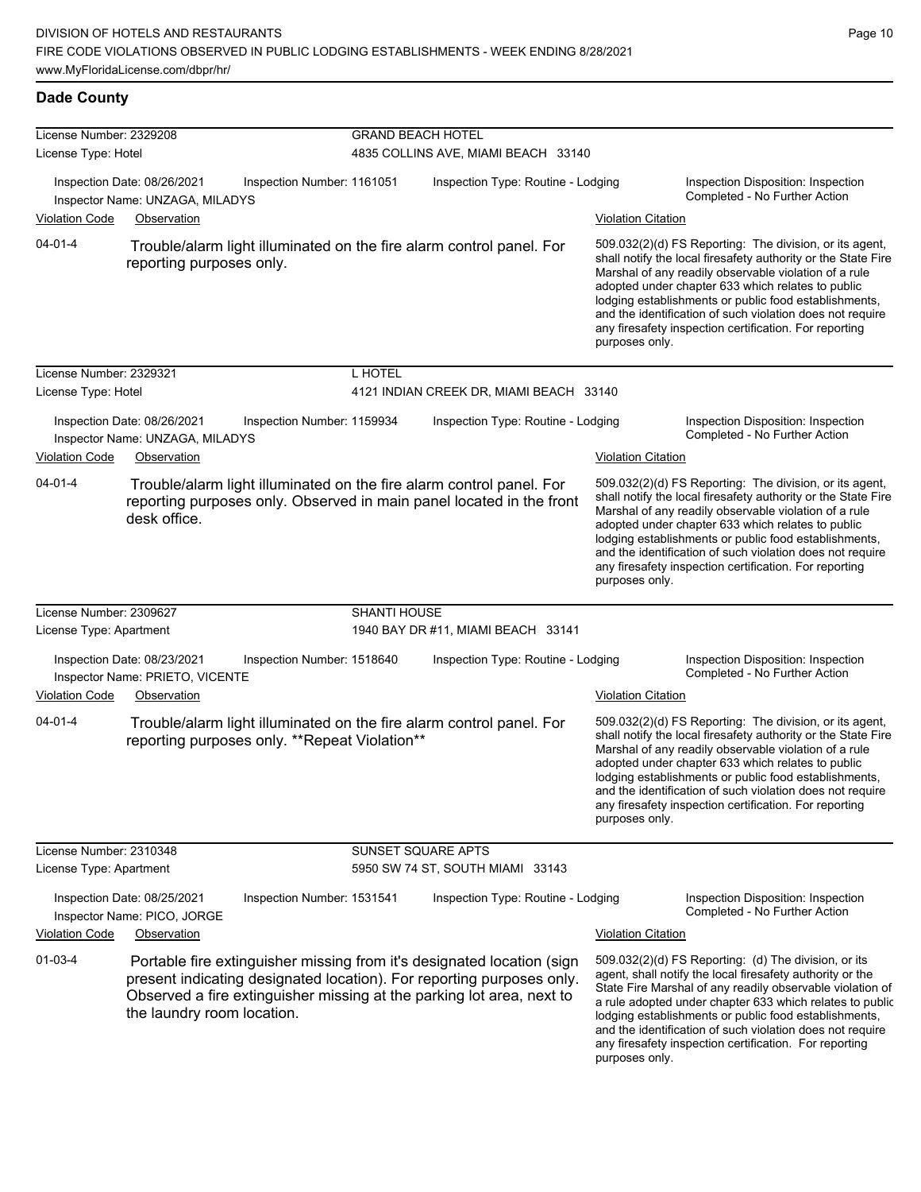| License Number: 2329208<br>License Type: Hotel     |                                                                                                         |                                               | <b>GRAND BEACH HOTEL</b><br>4835 COLLINS AVE, MIAMI BEACH 33140 |                                                                                                                                                                                                                                                                |                                             |                                                                                                                                                                                                                                                                                                                                                                                                                                                                                                   |  |  |
|----------------------------------------------------|---------------------------------------------------------------------------------------------------------|-----------------------------------------------|-----------------------------------------------------------------|----------------------------------------------------------------------------------------------------------------------------------------------------------------------------------------------------------------------------------------------------------------|---------------------------------------------|---------------------------------------------------------------------------------------------------------------------------------------------------------------------------------------------------------------------------------------------------------------------------------------------------------------------------------------------------------------------------------------------------------------------------------------------------------------------------------------------------|--|--|
| <b>Violation Code</b>                              | Inspection Date: 08/26/2021<br>Inspector Name: UNZAGA, MILADYS<br>Observation                           | Inspection Number: 1161051                    | Inspection Type: Routine - Lodging                              |                                                                                                                                                                                                                                                                | <b>Violation Citation</b>                   | Inspection Disposition: Inspection<br>Completed - No Further Action                                                                                                                                                                                                                                                                                                                                                                                                                               |  |  |
| $04 - 01 - 4$                                      | reporting purposes only.                                                                                |                                               |                                                                 | Trouble/alarm light illuminated on the fire alarm control panel. For                                                                                                                                                                                           | purposes only.                              | 509.032(2)(d) FS Reporting: The division, or its agent,<br>shall notify the local firesafety authority or the State Fire<br>Marshal of any readily observable violation of a rule<br>adopted under chapter 633 which relates to public<br>lodging establishments or public food establishments,<br>and the identification of such violation does not require<br>any firesafety inspection certification. For reporting                                                                            |  |  |
| License Number: 2329321<br>License Type: Hotel     |                                                                                                         |                                               | L HOTEL                                                         | 4121 INDIAN CREEK DR, MIAMI BEACH 33140                                                                                                                                                                                                                        |                                             |                                                                                                                                                                                                                                                                                                                                                                                                                                                                                                   |  |  |
| <b>Violation Code</b>                              | Inspection Date: 08/26/2021<br>Inspector Name: UNZAGA, MILADYS<br>Observation                           | Inspection Number: 1159934                    |                                                                 | Inspection Type: Routine - Lodging                                                                                                                                                                                                                             | <b>Violation Citation</b>                   | Inspection Disposition: Inspection<br>Completed - No Further Action                                                                                                                                                                                                                                                                                                                                                                                                                               |  |  |
| 04-01-4                                            | desk office.                                                                                            |                                               |                                                                 | Trouble/alarm light illuminated on the fire alarm control panel. For<br>reporting purposes only. Observed in main panel located in the front                                                                                                                   | purposes only.                              | 509.032(2)(d) FS Reporting: The division, or its agent,<br>shall notify the local firesafety authority or the State Fire<br>Marshal of any readily observable violation of a rule<br>adopted under chapter 633 which relates to public<br>lodging establishments or public food establishments,<br>and the identification of such violation does not require<br>any firesafety inspection certification. For reporting                                                                            |  |  |
| License Number: 2309627<br>License Type: Apartment |                                                                                                         |                                               | SHANTI HOUSE                                                    | 1940 BAY DR #11, MIAMI BEACH 33141                                                                                                                                                                                                                             |                                             |                                                                                                                                                                                                                                                                                                                                                                                                                                                                                                   |  |  |
| <b>Violation Code</b>                              | Inspection Date: 08/23/2021<br>Inspector Name: PRIETO, VICENTE                                          | Inspection Number: 1518640                    |                                                                 | Inspection Type: Routine - Lodging                                                                                                                                                                                                                             |                                             | Inspection Disposition: Inspection<br>Completed - No Further Action                                                                                                                                                                                                                                                                                                                                                                                                                               |  |  |
| $04 - 01 - 4$                                      | Observation                                                                                             | reporting purposes only. **Repeat Violation** |                                                                 | Trouble/alarm light illuminated on the fire alarm control panel. For                                                                                                                                                                                           | <b>Violation Citation</b><br>purposes only. | 509.032(2)(d) FS Reporting: The division, or its agent,<br>shall notify the local firesafety authority or the State Fire<br>Marshal of any readily observable violation of a rule<br>adopted under chapter 633 which relates to public<br>lodging establishments or public food establishments,<br>and the identification of such violation does not require<br>any firesafety inspection certification. For reporting                                                                            |  |  |
| License Number: 2310348<br>License Type: Apartment |                                                                                                         |                                               | SUNSET SQUARE APTS                                              | 5950 SW 74 ST, SOUTH MIAMI 33143                                                                                                                                                                                                                               |                                             |                                                                                                                                                                                                                                                                                                                                                                                                                                                                                                   |  |  |
| <b>Violation Code</b><br>$01 - 03 - 4$             | Inspection Date: 08/25/2021<br>Inspector Name: PICO, JORGE<br>Observation<br>the laundry room location. | Inspection Number: 1531541                    |                                                                 | Inspection Type: Routine - Lodging<br>Portable fire extinguisher missing from it's designated location (sign<br>present indicating designated location). For reporting purposes only.<br>Observed a fire extinguisher missing at the parking lot area, next to | <b>Violation Citation</b><br>purposes only. | Inspection Disposition: Inspection<br>Completed - No Further Action<br>509.032(2)(d) FS Reporting: (d) The division, or its<br>agent, shall notify the local firesafety authority or the<br>State Fire Marshal of any readily observable violation of<br>a rule adopted under chapter 633 which relates to public<br>lodging establishments or public food establishments,<br>and the identification of such violation does not require<br>any firesafety inspection certification. For reporting |  |  |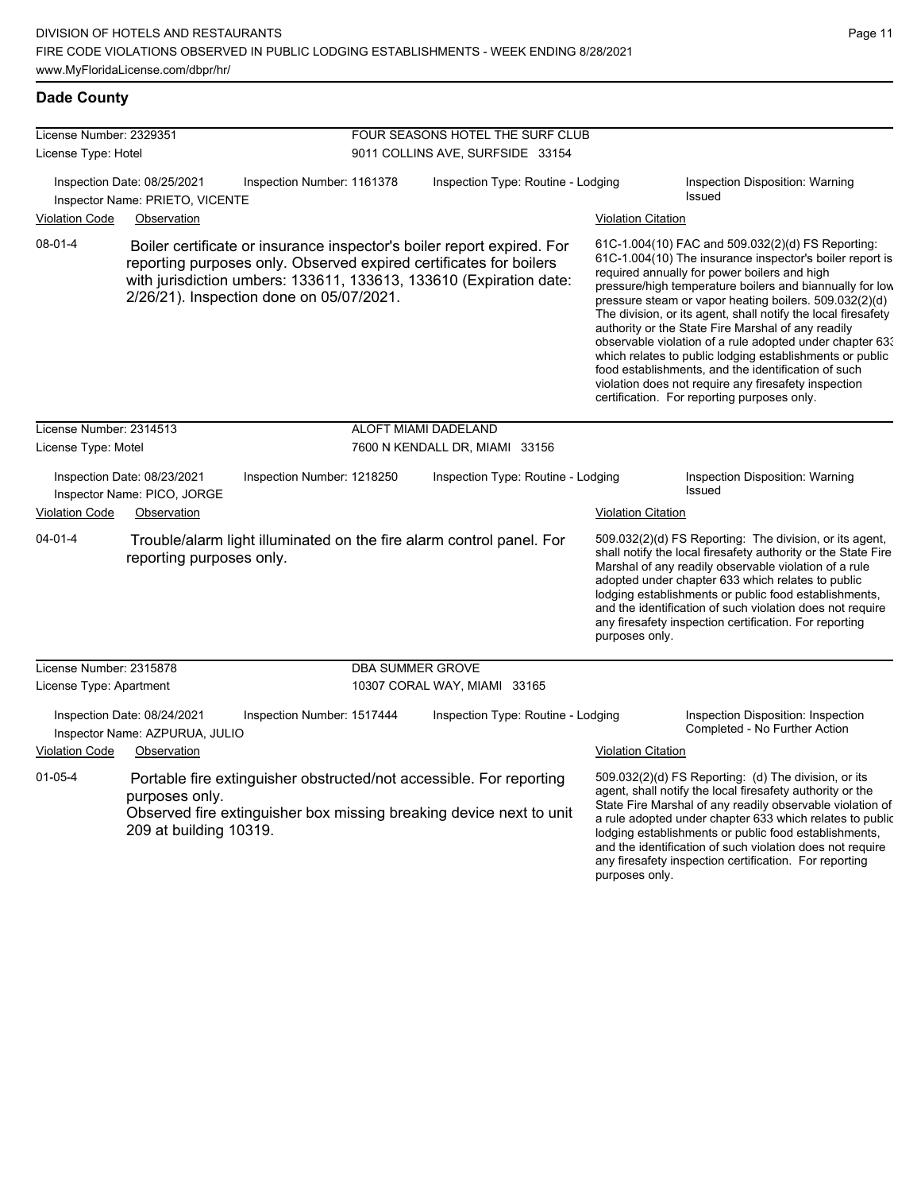| <b>Dade County</b> |  |
|--------------------|--|
|--------------------|--|

| License Number: 2329351 |                                                                               |                                          |                                    | FOUR SEASONS HOTEL THE SURF CLUB                                                                                                                                                                                   |                           |                                                                                                                                                                                                                                                                                                                                                                                                                                                                                                                                                                                                                                                                                                  |  |
|-------------------------|-------------------------------------------------------------------------------|------------------------------------------|------------------------------------|--------------------------------------------------------------------------------------------------------------------------------------------------------------------------------------------------------------------|---------------------------|--------------------------------------------------------------------------------------------------------------------------------------------------------------------------------------------------------------------------------------------------------------------------------------------------------------------------------------------------------------------------------------------------------------------------------------------------------------------------------------------------------------------------------------------------------------------------------------------------------------------------------------------------------------------------------------------------|--|
| License Type: Hotel     |                                                                               |                                          | 9011 COLLINS AVE, SURFSIDE 33154   |                                                                                                                                                                                                                    |                           |                                                                                                                                                                                                                                                                                                                                                                                                                                                                                                                                                                                                                                                                                                  |  |
| <b>Violation Code</b>   | Inspection Date: 08/25/2021<br>Inspector Name: PRIETO, VICENTE<br>Observation | Inspection Number: 1161378               | Inspection Type: Routine - Lodging |                                                                                                                                                                                                                    | <b>Violation Citation</b> | <b>Inspection Disposition: Warning</b><br>Issued                                                                                                                                                                                                                                                                                                                                                                                                                                                                                                                                                                                                                                                 |  |
| $08 - 01 - 4$           |                                                                               | 2/26/21). Inspection done on 05/07/2021. |                                    | Boiler certificate or insurance inspector's boiler report expired. For<br>reporting purposes only. Observed expired certificates for boilers<br>with jurisdiction umbers: 133611, 133613, 133610 (Expiration date: |                           | 61C-1.004(10) FAC and 509.032(2)(d) FS Reporting:<br>61C-1.004(10) The insurance inspector's boiler report is<br>required annually for power boilers and high<br>pressure/high temperature boilers and biannually for low<br>pressure steam or vapor heating boilers. 509.032(2)(d)<br>The division, or its agent, shall notify the local firesafety<br>authority or the State Fire Marshal of any readily<br>observable violation of a rule adopted under chapter 63.<br>which relates to public lodging establishments or public<br>food establishments, and the identification of such<br>violation does not require any firesafety inspection<br>certification. For reporting purposes only. |  |
| License Number: 2314513 |                                                                               |                                          | ALOFT MIAMI DADELAND               |                                                                                                                                                                                                                    |                           |                                                                                                                                                                                                                                                                                                                                                                                                                                                                                                                                                                                                                                                                                                  |  |
| License Type: Motel     |                                                                               |                                          | 7600 N KENDALL DR, MIAMI 33156     |                                                                                                                                                                                                                    |                           |                                                                                                                                                                                                                                                                                                                                                                                                                                                                                                                                                                                                                                                                                                  |  |
|                         | Inspection Date: 08/23/2021<br>Inspector Name: PICO, JORGE                    | Inspection Number: 1218250               |                                    | Inspection Type: Routine - Lodging                                                                                                                                                                                 |                           | <b>Inspection Disposition: Warning</b><br>Issued                                                                                                                                                                                                                                                                                                                                                                                                                                                                                                                                                                                                                                                 |  |
| <b>Violation Code</b>   | Observation                                                                   |                                          |                                    |                                                                                                                                                                                                                    | <b>Violation Citation</b> |                                                                                                                                                                                                                                                                                                                                                                                                                                                                                                                                                                                                                                                                                                  |  |
| $04 - 01 - 4$           | reporting purposes only.                                                      |                                          |                                    | Trouble/alarm light illuminated on the fire alarm control panel. For                                                                                                                                               | purposes only.            | 509.032(2)(d) FS Reporting: The division, or its agent,<br>shall notify the local firesafety authority or the State Fire<br>Marshal of any readily observable violation of a rule<br>adopted under chapter 633 which relates to public<br>lodging establishments or public food establishments,<br>and the identification of such violation does not require<br>any firesafety inspection certification. For reporting                                                                                                                                                                                                                                                                           |  |
| License Number: 2315878 |                                                                               |                                          | DBA SUMMER GROVE                   |                                                                                                                                                                                                                    |                           |                                                                                                                                                                                                                                                                                                                                                                                                                                                                                                                                                                                                                                                                                                  |  |
| License Type: Apartment |                                                                               |                                          |                                    | 10307 CORAL WAY, MIAMI 33165                                                                                                                                                                                       |                           |                                                                                                                                                                                                                                                                                                                                                                                                                                                                                                                                                                                                                                                                                                  |  |
|                         | Inspection Date: 08/24/2021<br>Inspector Name: AZPURUA, JULIO                 | Inspection Number: 1517444               |                                    | Inspection Type: Routine - Lodging                                                                                                                                                                                 |                           | Inspection Disposition: Inspection<br>Completed - No Further Action                                                                                                                                                                                                                                                                                                                                                                                                                                                                                                                                                                                                                              |  |
| <b>Violation Code</b>   | Observation                                                                   |                                          |                                    |                                                                                                                                                                                                                    | <b>Violation Citation</b> |                                                                                                                                                                                                                                                                                                                                                                                                                                                                                                                                                                                                                                                                                                  |  |
| $01 - 05 - 4$           | purposes only.<br>209 at building 10319.                                      |                                          |                                    | Portable fire extinguisher obstructed/not accessible. For reporting<br>Observed fire extinguisher box missing breaking device next to unit                                                                         | purposes only.            | 509.032(2)(d) FS Reporting: (d) The division, or its<br>agent, shall notify the local firesafety authority or the<br>State Fire Marshal of any readily observable violation of<br>a rule adopted under chapter 633 which relates to public<br>lodging establishments or public food establishments,<br>and the identification of such violation does not require<br>any firesafety inspection certification. For reporting                                                                                                                                                                                                                                                                       |  |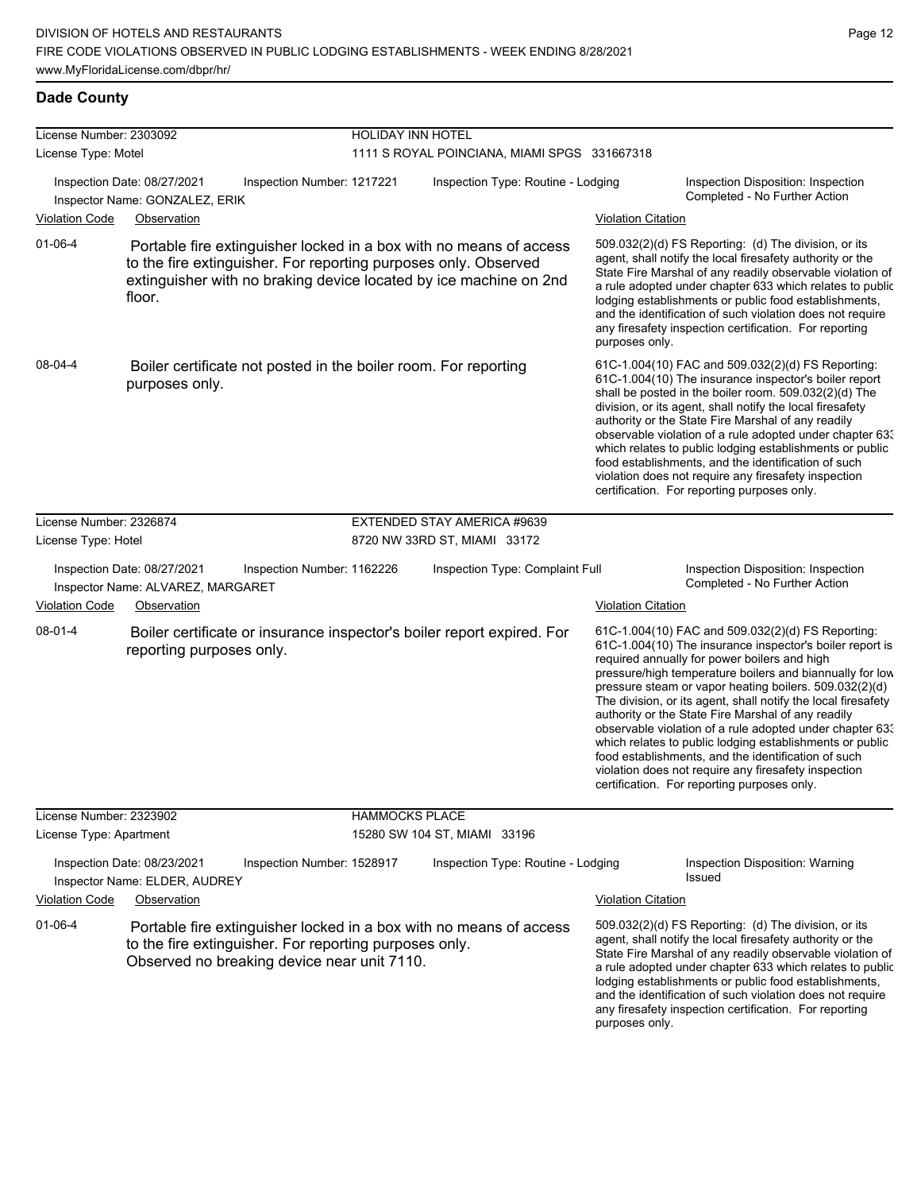# **Dade County**

| License Number: 2303092                                                                                                                                                                |                                                                                                                                                |                            | HOLIDAY INN HOTEL                                                      |                           |                                                                                                                                                                                                                                                                                                                                                                                                                                                                                                                                                                                                                                                                                                  |
|----------------------------------------------------------------------------------------------------------------------------------------------------------------------------------------|------------------------------------------------------------------------------------------------------------------------------------------------|----------------------------|------------------------------------------------------------------------|---------------------------|--------------------------------------------------------------------------------------------------------------------------------------------------------------------------------------------------------------------------------------------------------------------------------------------------------------------------------------------------------------------------------------------------------------------------------------------------------------------------------------------------------------------------------------------------------------------------------------------------------------------------------------------------------------------------------------------------|
| License Type: Motel                                                                                                                                                                    |                                                                                                                                                |                            | 1111 S ROYAL POINCIANA, MIAMI SPGS 331667318                           |                           |                                                                                                                                                                                                                                                                                                                                                                                                                                                                                                                                                                                                                                                                                                  |
| Inspection Date: 08/27/2021<br>Inspector Name: GONZALEZ, ERIK                                                                                                                          |                                                                                                                                                | Inspection Number: 1217221 | Inspection Type: Routine - Lodging                                     |                           | Inspection Disposition: Inspection<br>Completed - No Further Action                                                                                                                                                                                                                                                                                                                                                                                                                                                                                                                                                                                                                              |
| <b>Violation Code</b>                                                                                                                                                                  | Observation                                                                                                                                    |                            |                                                                        | <b>Violation Citation</b> |                                                                                                                                                                                                                                                                                                                                                                                                                                                                                                                                                                                                                                                                                                  |
| $01 - 06 - 4$                                                                                                                                                                          | to the fire extinguisher. For reporting purposes only. Observed<br>extinguisher with no braking device located by ice machine on 2nd<br>floor. |                            | Portable fire extinguisher locked in a box with no means of access     | purposes only.            | 509.032(2)(d) FS Reporting: (d) The division, or its<br>agent, shall notify the local firesafety authority or the<br>State Fire Marshal of any readily observable violation of<br>a rule adopted under chapter 633 which relates to public<br>lodging establishments or public food establishments,<br>and the identification of such violation does not require<br>any firesafety inspection certification. For reporting                                                                                                                                                                                                                                                                       |
| 08-04-4                                                                                                                                                                                | Boiler certificate not posted in the boiler room. For reporting<br>purposes only.                                                              |                            |                                                                        |                           | 61C-1.004(10) FAC and 509.032(2)(d) FS Reporting:<br>61C-1.004(10) The insurance inspector's boiler report<br>shall be posted in the boiler room. 509.032(2)(d) The<br>division, or its agent, shall notify the local firesafety<br>authority or the State Fire Marshal of any readily<br>observable violation of a rule adopted under chapter 633<br>which relates to public lodging establishments or public<br>food establishments, and the identification of such<br>violation does not require any firesafety inspection<br>certification. For reporting purposes only.                                                                                                                     |
| License Number: 2326874                                                                                                                                                                |                                                                                                                                                |                            | EXTENDED STAY AMERICA #9639                                            |                           |                                                                                                                                                                                                                                                                                                                                                                                                                                                                                                                                                                                                                                                                                                  |
| License Type: Hotel                                                                                                                                                                    |                                                                                                                                                |                            | 8720 NW 33RD ST, MIAMI 33172                                           |                           |                                                                                                                                                                                                                                                                                                                                                                                                                                                                                                                                                                                                                                                                                                  |
|                                                                                                                                                                                        | Inspection Date: 08/27/2021<br>Inspector Name: ALVAREZ, MARGARET                                                                               | Inspection Number: 1162226 | Inspection Type: Complaint Full                                        |                           | Inspection Disposition: Inspection<br>Completed - No Further Action                                                                                                                                                                                                                                                                                                                                                                                                                                                                                                                                                                                                                              |
| <b>Violation Code</b>                                                                                                                                                                  | Observation                                                                                                                                    |                            |                                                                        | <b>Violation Citation</b> |                                                                                                                                                                                                                                                                                                                                                                                                                                                                                                                                                                                                                                                                                                  |
| 08-01-4                                                                                                                                                                                | reporting purposes only.                                                                                                                       |                            | Boiler certificate or insurance inspector's boiler report expired. For |                           | 61C-1.004(10) FAC and 509.032(2)(d) FS Reporting:<br>61C-1.004(10) The insurance inspector's boiler report is<br>required annually for power boilers and high<br>pressure/high temperature boilers and biannually for low<br>pressure steam or vapor heating boilers. 509.032(2)(d)<br>The division, or its agent, shall notify the local firesafety<br>authority or the State Fire Marshal of any readily<br>observable violation of a rule adopted under chapter 63.<br>which relates to public lodging establishments or public<br>food establishments, and the identification of such<br>violation does not require any firesafety inspection<br>certification. For reporting purposes only. |
| License Number: 2323902                                                                                                                                                                |                                                                                                                                                |                            | <b>HAMMOCKS PLACE</b>                                                  |                           |                                                                                                                                                                                                                                                                                                                                                                                                                                                                                                                                                                                                                                                                                                  |
| License Type: Apartment                                                                                                                                                                |                                                                                                                                                |                            | 15280 SW 104 ST, MIAMI 33196                                           |                           |                                                                                                                                                                                                                                                                                                                                                                                                                                                                                                                                                                                                                                                                                                  |
|                                                                                                                                                                                        | Inspection Date: 08/23/2021<br>Inspector Name: ELDER, AUDREY                                                                                   | Inspection Number: 1528917 | Inspection Type: Routine - Lodging                                     |                           | Inspection Disposition: Warning<br>Issued                                                                                                                                                                                                                                                                                                                                                                                                                                                                                                                                                                                                                                                        |
| <b>Violation Code</b>                                                                                                                                                                  | Observation                                                                                                                                    |                            |                                                                        | <b>Violation Citation</b> |                                                                                                                                                                                                                                                                                                                                                                                                                                                                                                                                                                                                                                                                                                  |
| 01-06-4<br>Portable fire extinguisher locked in a box with no means of access<br>to the fire extinguisher. For reporting purposes only.<br>Observed no breaking device near unit 7110. |                                                                                                                                                |                            |                                                                        | purposes only.            | 509.032(2)(d) FS Reporting: (d) The division, or its<br>agent, shall notify the local firesafety authority or the<br>State Fire Marshal of any readily observable violation of<br>a rule adopted under chapter 633 which relates to public<br>lodging establishments or public food establishments,<br>and the identification of such violation does not require<br>any firesafety inspection certification. For reporting                                                                                                                                                                                                                                                                       |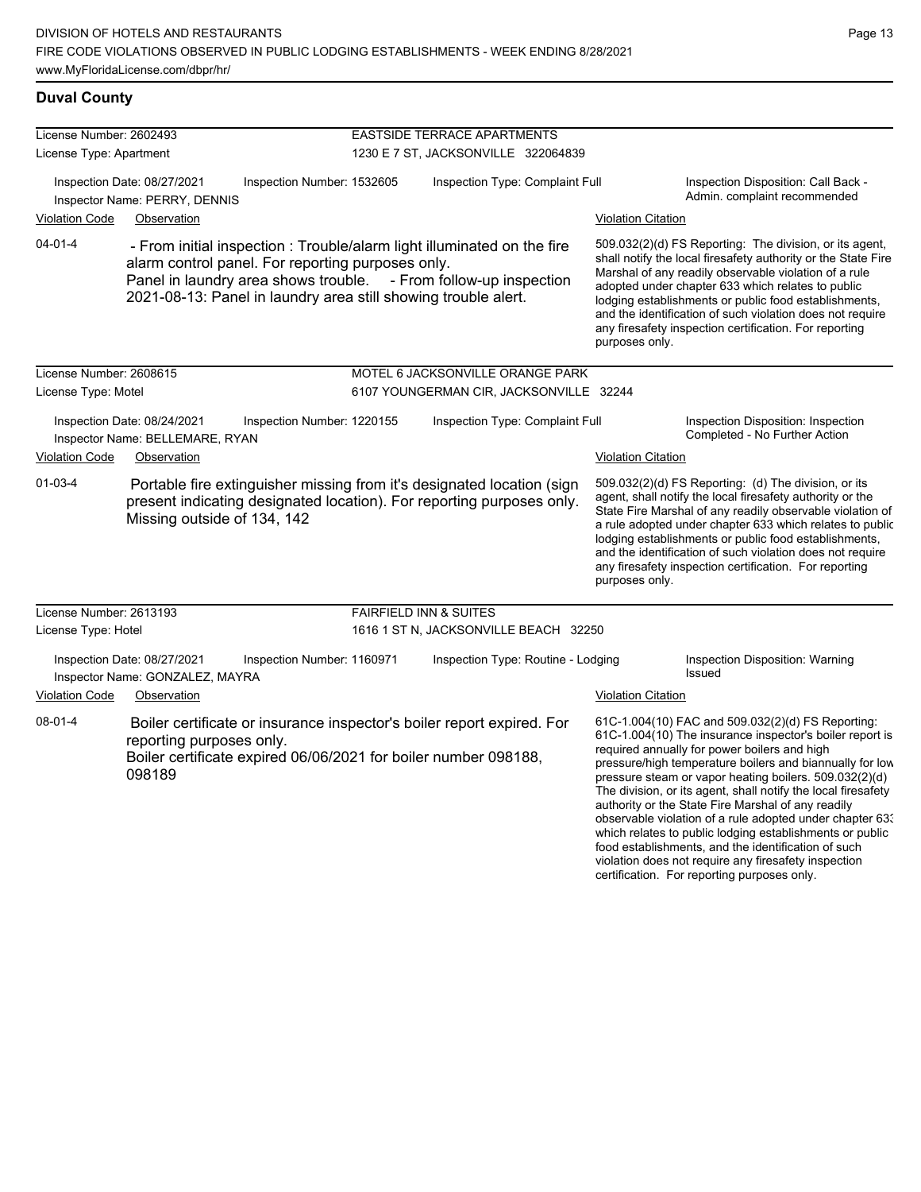which relates to public lodging establishments or public food establishments, and the identification of such violation does not require any firesafety inspection certification. For reporting purposes only.

### **Duval County**

| License Number: 2602493                                        |                                                                |                                                                                                                                                             |                                     | <b>EASTSIDE TERRACE APARTMENTS</b>                                                                                                              |                                                                                                                                                                                                                                                                                                                                                                                                                                          |                                                                                                                                                                                                                                                                                                                                                                                                                                                                        |  |
|----------------------------------------------------------------|----------------------------------------------------------------|-------------------------------------------------------------------------------------------------------------------------------------------------------------|-------------------------------------|-------------------------------------------------------------------------------------------------------------------------------------------------|------------------------------------------------------------------------------------------------------------------------------------------------------------------------------------------------------------------------------------------------------------------------------------------------------------------------------------------------------------------------------------------------------------------------------------------|------------------------------------------------------------------------------------------------------------------------------------------------------------------------------------------------------------------------------------------------------------------------------------------------------------------------------------------------------------------------------------------------------------------------------------------------------------------------|--|
| License Type: Apartment                                        |                                                                |                                                                                                                                                             | 1230 E 7 ST, JACKSONVILLE 322064839 |                                                                                                                                                 |                                                                                                                                                                                                                                                                                                                                                                                                                                          |                                                                                                                                                                                                                                                                                                                                                                                                                                                                        |  |
| Inspection Date: 08/27/2021<br>Inspector Name: PERRY, DENNIS   |                                                                | Inspection Number: 1532605                                                                                                                                  | Inspection Type: Complaint Full     |                                                                                                                                                 | Inspection Disposition: Call Back -<br>Admin. complaint recommended                                                                                                                                                                                                                                                                                                                                                                      |                                                                                                                                                                                                                                                                                                                                                                                                                                                                        |  |
| <b>Violation Code</b><br>Observation                           |                                                                |                                                                                                                                                             |                                     |                                                                                                                                                 | <b>Violation Citation</b>                                                                                                                                                                                                                                                                                                                                                                                                                |                                                                                                                                                                                                                                                                                                                                                                                                                                                                        |  |
| $04 - 01 - 4$                                                  |                                                                | alarm control panel. For reporting purposes only.<br>Panel in laundry area shows trouble.<br>2021-08-13: Panel in laundry area still showing trouble alert. |                                     | - From initial inspection : Trouble/alarm light illuminated on the fire<br>- From follow-up inspection                                          | 509.032(2)(d) FS Reporting: The division, or its agent,<br>shall notify the local firesafety authority or the State Fire<br>Marshal of any readily observable violation of a rule<br>adopted under chapter 633 which relates to public<br>lodging establishments or public food establishments,<br>and the identification of such violation does not require<br>any firesafety inspection certification. For reporting<br>purposes only. |                                                                                                                                                                                                                                                                                                                                                                                                                                                                        |  |
| License Number: 2608615                                        |                                                                |                                                                                                                                                             |                                     | MOTEL 6 JACKSONVILLE ORANGE PARK                                                                                                                |                                                                                                                                                                                                                                                                                                                                                                                                                                          |                                                                                                                                                                                                                                                                                                                                                                                                                                                                        |  |
| License Type: Motel                                            |                                                                |                                                                                                                                                             |                                     | 6107 YOUNGERMAN CIR, JACKSONVILLE 32244                                                                                                         |                                                                                                                                                                                                                                                                                                                                                                                                                                          |                                                                                                                                                                                                                                                                                                                                                                                                                                                                        |  |
| Inspection Date: 08/24/2021<br>Inspector Name: BELLEMARE, RYAN |                                                                | Inspection Number: 1220155                                                                                                                                  |                                     | Inspection Type: Complaint Full                                                                                                                 |                                                                                                                                                                                                                                                                                                                                                                                                                                          | Inspection Disposition: Inspection<br>Completed - No Further Action                                                                                                                                                                                                                                                                                                                                                                                                    |  |
| <b>Violation Code</b><br>Observation                           |                                                                |                                                                                                                                                             |                                     |                                                                                                                                                 | <b>Violation Citation</b>                                                                                                                                                                                                                                                                                                                                                                                                                |                                                                                                                                                                                                                                                                                                                                                                                                                                                                        |  |
| $01-03-4$                                                      | Missing outside of 134, 142                                    |                                                                                                                                                             |                                     | Portable fire extinguisher missing from it's designated location (sign<br>present indicating designated location). For reporting purposes only. | purposes only.                                                                                                                                                                                                                                                                                                                                                                                                                           | 509.032(2)(d) FS Reporting: (d) The division, or its<br>agent, shall notify the local firesafety authority or the<br>State Fire Marshal of any readily observable violation of<br>a rule adopted under chapter 633 which relates to public<br>lodging establishments or public food establishments,<br>and the identification of such violation does not require<br>any firesafety inspection certification. For reporting                                             |  |
| License Number: 2613193                                        |                                                                |                                                                                                                                                             | <b>FAIRFIELD INN &amp; SUITES</b>   |                                                                                                                                                 |                                                                                                                                                                                                                                                                                                                                                                                                                                          |                                                                                                                                                                                                                                                                                                                                                                                                                                                                        |  |
| License Type: Hotel                                            |                                                                |                                                                                                                                                             |                                     | 1616 1 ST N, JACKSONVILLE BEACH 32250                                                                                                           |                                                                                                                                                                                                                                                                                                                                                                                                                                          |                                                                                                                                                                                                                                                                                                                                                                                                                                                                        |  |
|                                                                | Inspection Date: 08/27/2021<br>Inspector Name: GONZALEZ, MAYRA | Inspection Number: 1160971                                                                                                                                  |                                     | Inspection Type: Routine - Lodging                                                                                                              |                                                                                                                                                                                                                                                                                                                                                                                                                                          | Inspection Disposition: Warning<br><b>Issued</b>                                                                                                                                                                                                                                                                                                                                                                                                                       |  |
| <b>Violation Code</b>                                          | Observation                                                    |                                                                                                                                                             |                                     |                                                                                                                                                 | <b>Violation Citation</b>                                                                                                                                                                                                                                                                                                                                                                                                                |                                                                                                                                                                                                                                                                                                                                                                                                                                                                        |  |
| 08-01-4                                                        | reporting purposes only.<br>098189                             | Boiler certificate expired 06/06/2021 for boiler number 098188,                                                                                             |                                     | Boiler certificate or insurance inspector's boiler report expired. For                                                                          |                                                                                                                                                                                                                                                                                                                                                                                                                                          | 61C-1.004(10) FAC and 509.032(2)(d) FS Reporting:<br>61C-1.004(10) The insurance inspector's boiler report is<br>required annually for power boilers and high<br>pressure/high temperature boilers and biannually for low<br>pressure steam or vapor heating boilers. 509.032(2)(d)<br>The division, or its agent, shall notify the local firesafety<br>authority or the State Fire Marshal of any readily<br>observable violation of a rule adopted under chapter 633 |  |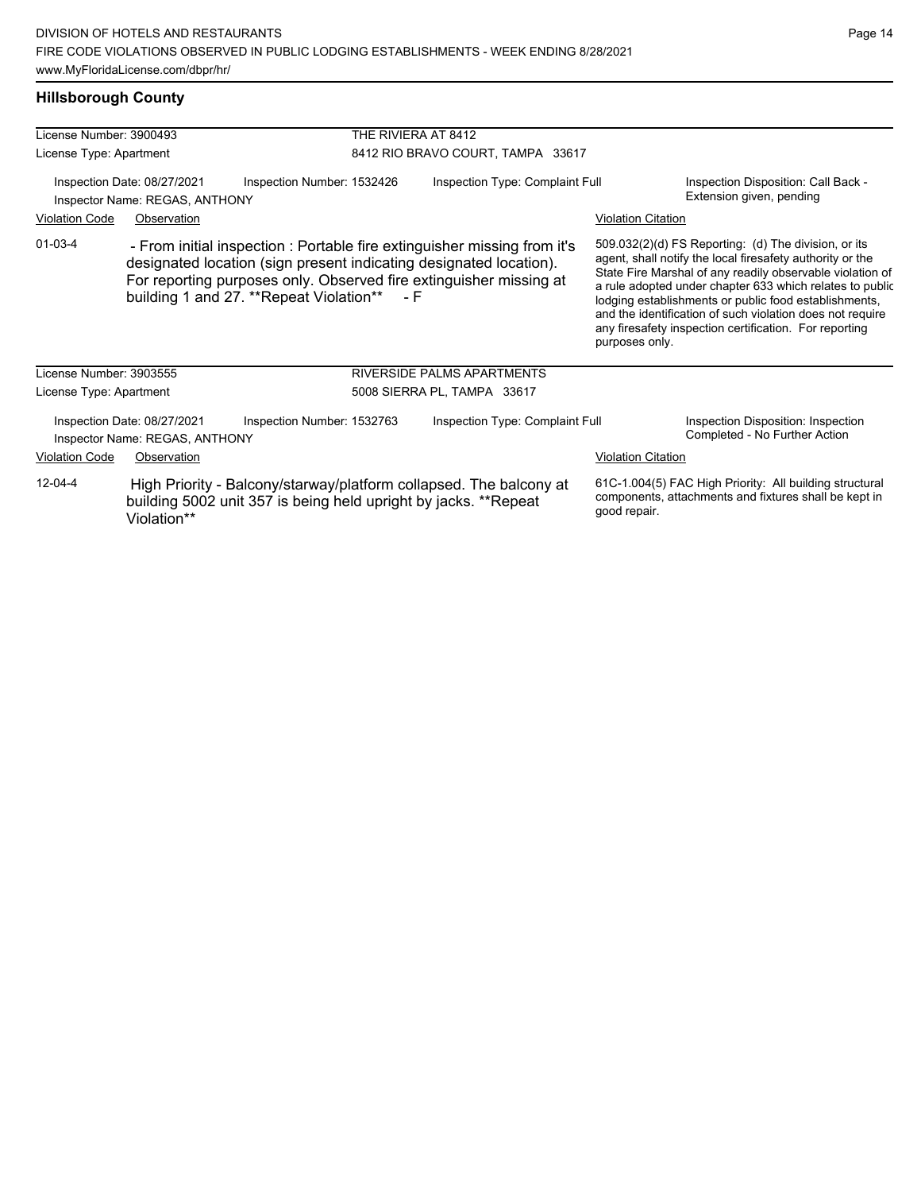| License Number: 3900493                                                                                                                                               |                                                                                                                                                                                                                                                                     |                            | THE RIVIERA AT 8412<br>8412 RIO BRAVO COURT, TAMPA 33617 |                                                                                                                                                                                                                                                                                                                                                                                                                                              |                                                                                                                  |  |  |
|-----------------------------------------------------------------------------------------------------------------------------------------------------------------------|---------------------------------------------------------------------------------------------------------------------------------------------------------------------------------------------------------------------------------------------------------------------|----------------------------|----------------------------------------------------------|----------------------------------------------------------------------------------------------------------------------------------------------------------------------------------------------------------------------------------------------------------------------------------------------------------------------------------------------------------------------------------------------------------------------------------------------|------------------------------------------------------------------------------------------------------------------|--|--|
| License Type: Apartment                                                                                                                                               |                                                                                                                                                                                                                                                                     |                            |                                                          |                                                                                                                                                                                                                                                                                                                                                                                                                                              |                                                                                                                  |  |  |
| Inspection Date: 08/27/2021<br>Inspector Name: REGAS, ANTHONY                                                                                                         |                                                                                                                                                                                                                                                                     | Inspection Number: 1532426 | Inspection Type: Complaint Full                          |                                                                                                                                                                                                                                                                                                                                                                                                                                              | Inspection Disposition: Call Back -<br>Extension given, pending                                                  |  |  |
| <b>Violation Code</b>                                                                                                                                                 | Observation                                                                                                                                                                                                                                                         |                            |                                                          | <b>Violation Citation</b>                                                                                                                                                                                                                                                                                                                                                                                                                    |                                                                                                                  |  |  |
| $01-03-4$                                                                                                                                                             | - From initial inspection : Portable fire extinguisher missing from it's<br>designated location (sign present indicating designated location).<br>For reporting purposes only. Observed fire extinguisher missing at<br>building 1 and 27. **Repeat Violation** - F |                            |                                                          | 509.032(2)(d) FS Reporting: (d) The division, or its<br>agent, shall notify the local firesafety authority or the<br>State Fire Marshal of any readily observable violation of<br>a rule adopted under chapter 633 which relates to public<br>lodging establishments or public food establishments,<br>and the identification of such violation does not require<br>any firesafety inspection certification. For reporting<br>purposes only. |                                                                                                                  |  |  |
| License Number: 3903555                                                                                                                                               |                                                                                                                                                                                                                                                                     |                            | RIVERSIDE PALMS APARTMENTS                               |                                                                                                                                                                                                                                                                                                                                                                                                                                              |                                                                                                                  |  |  |
| License Type: Apartment                                                                                                                                               |                                                                                                                                                                                                                                                                     |                            | 5008 SIERRA PL, TAMPA 33617                              |                                                                                                                                                                                                                                                                                                                                                                                                                                              |                                                                                                                  |  |  |
| Inspection Date: 08/27/2021<br>Inspector Name: REGAS, ANTHONY                                                                                                         |                                                                                                                                                                                                                                                                     | Inspection Number: 1532763 | Inspection Type: Complaint Full                          |                                                                                                                                                                                                                                                                                                                                                                                                                                              | Inspection Disposition: Inspection<br>Completed - No Further Action                                              |  |  |
| <b>Violation Code</b><br>Observation                                                                                                                                  |                                                                                                                                                                                                                                                                     |                            |                                                          | <b>Violation Citation</b>                                                                                                                                                                                                                                                                                                                                                                                                                    |                                                                                                                  |  |  |
| $12 - 04 - 4$<br>High Priority - Balcony/starway/platform collapsed. The balcony at<br>building 5002 unit 357 is being held upright by jacks. **Repeat<br>Violation** |                                                                                                                                                                                                                                                                     |                            |                                                          | good repair.                                                                                                                                                                                                                                                                                                                                                                                                                                 | 61C-1.004(5) FAC High Priority: All building structural<br>components, attachments and fixtures shall be kept in |  |  |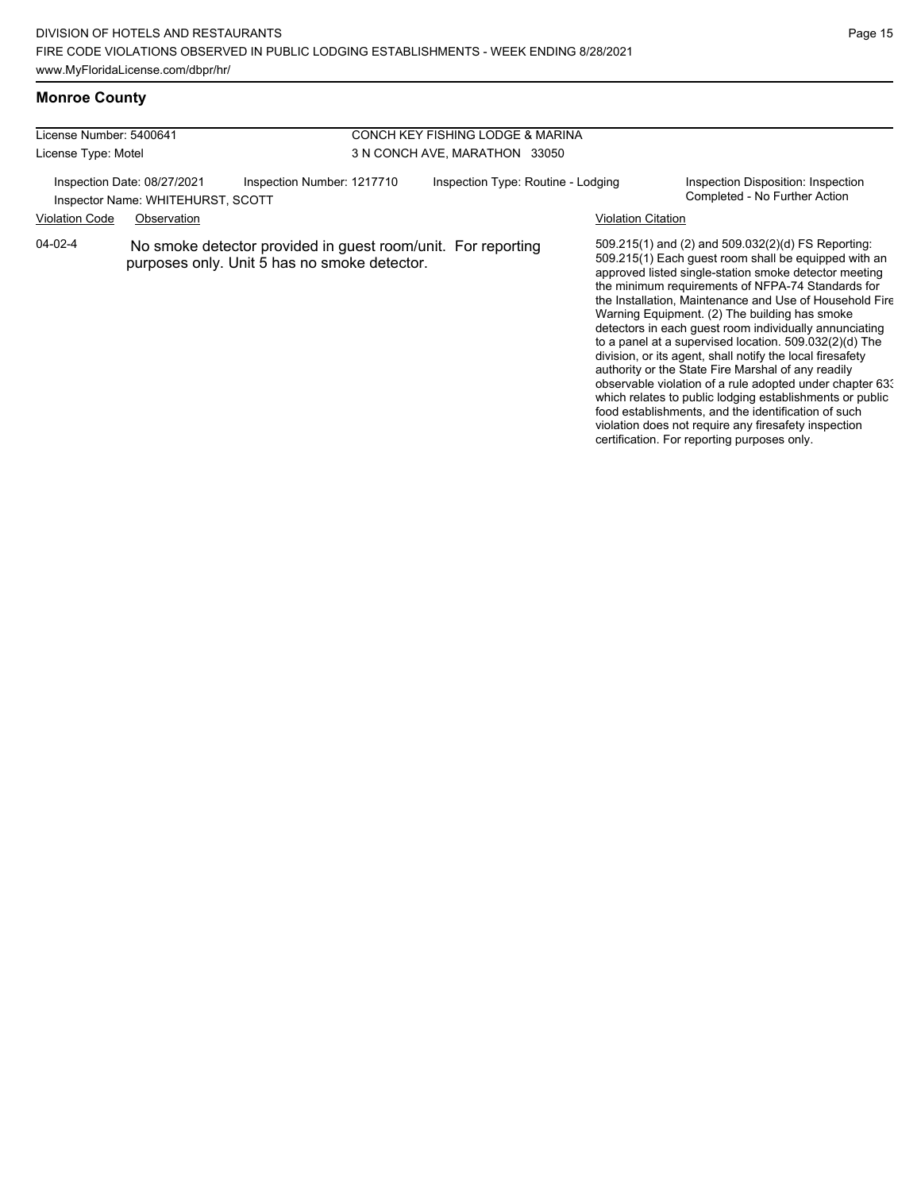### **Monroe County**

| License Number: 5400641                                                                                                       |             |                            | CONCH KEY FISHING LODGE & MARINA   |                           |                                                                                                                                                                                                                                                                                                                                                                                                                                                                                                                 |
|-------------------------------------------------------------------------------------------------------------------------------|-------------|----------------------------|------------------------------------|---------------------------|-----------------------------------------------------------------------------------------------------------------------------------------------------------------------------------------------------------------------------------------------------------------------------------------------------------------------------------------------------------------------------------------------------------------------------------------------------------------------------------------------------------------|
| License Type: Motel                                                                                                           |             |                            | 3 N CONCH AVE, MARATHON 33050      |                           |                                                                                                                                                                                                                                                                                                                                                                                                                                                                                                                 |
| Inspection Date: 08/27/2021<br>Inspector Name: WHITEHURST, SCOTT                                                              |             | Inspection Number: 1217710 | Inspection Type: Routine - Lodging |                           | Inspection Disposition: Inspection<br>Completed - No Further Action                                                                                                                                                                                                                                                                                                                                                                                                                                             |
| <b>Violation Code</b>                                                                                                         | Observation |                            |                                    | <b>Violation Citation</b> |                                                                                                                                                                                                                                                                                                                                                                                                                                                                                                                 |
| $04 - 02 - 4$<br>No smoke detector provided in guest room/unit. For reporting<br>purposes only. Unit 5 has no smoke detector. |             |                            |                                    |                           | 509.215(1) and (2) and 509.032(2)(d) FS Reporting:<br>509.215(1) Each quest room shall be equipped with an<br>approved listed single-station smoke detector meeting<br>the minimum requirements of NFPA-74 Standards for<br>the Installation, Maintenance and Use of Household Fire<br>Warning Equipment. (2) The building has smoke<br>detectors in each quest room individually annunciating<br>to a panel at a supervised location. 509.032(2)(d) The<br>division or its seent shall notified has firesofatu |

division, or its agent, shall notify the local firesafety authority or the State Fire Marshal of any readily observable violation of a rule adopted under chapter 633 which relates to public lodging establishments or public food establishments, and the identification of such violation does not require any firesafety inspection certification. For reporting purposes only.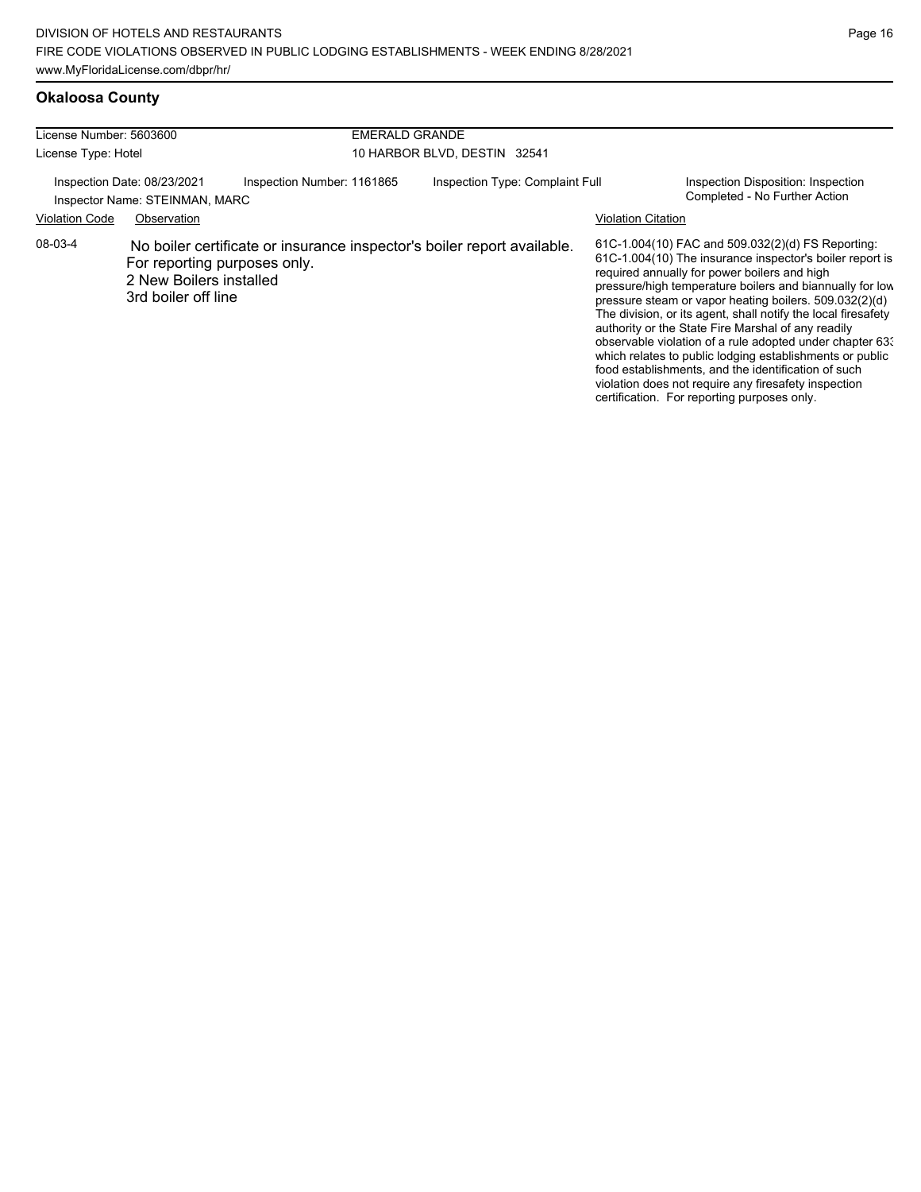## **Okaloosa County**

| License Number: 5603600<br>License Type: Hotel                                                                                                                                                                                                 |                                                           | <b>EMERALD GRANDE</b><br>10 HARBOR BLVD, DESTIN 32541 |                                                                                                                                                                                                                                                                                                                                                                                                                                                                                                                                                                                                                                                                         |  |  |
|------------------------------------------------------------------------------------------------------------------------------------------------------------------------------------------------------------------------------------------------|-----------------------------------------------------------|-------------------------------------------------------|-------------------------------------------------------------------------------------------------------------------------------------------------------------------------------------------------------------------------------------------------------------------------------------------------------------------------------------------------------------------------------------------------------------------------------------------------------------------------------------------------------------------------------------------------------------------------------------------------------------------------------------------------------------------------|--|--|
|                                                                                                                                                                                                                                                | Inspection Date: 08/23/2021<br>Inspection Number: 1161865 | Inspection Type: Complaint Full                       | Inspection Disposition: Inspection<br>Completed - No Further Action                                                                                                                                                                                                                                                                                                                                                                                                                                                                                                                                                                                                     |  |  |
| Inspector Name: STEINMAN, MARC<br><b>Violation Code</b><br>Observation<br>08-03-4<br>No boiler certificate or insurance inspector's boiler report available.<br>For reporting purposes only.<br>2 New Boilers installed<br>3rd boiler off line |                                                           |                                                       | Violation Citation<br>61C-1.004(10) FAC and 509.032(2)(d) FS Reporting:<br>61C-1.004(10) The insurance inspector's boiler report is<br>required annually for power boilers and high<br>pressure/high temperature boilers and biannually for low<br>pressure steam or vapor heating boilers. 509.032(2)(d)<br>The division, or its agent, shall notify the local firesafety<br>authority or the State Fire Marshal of any readily<br>observable violation of a rule adopted under chapter 633<br>which relates to public lodging establishments or public<br>food establishments, and the identification of such<br>violation does not require any firesafety inspection |  |  |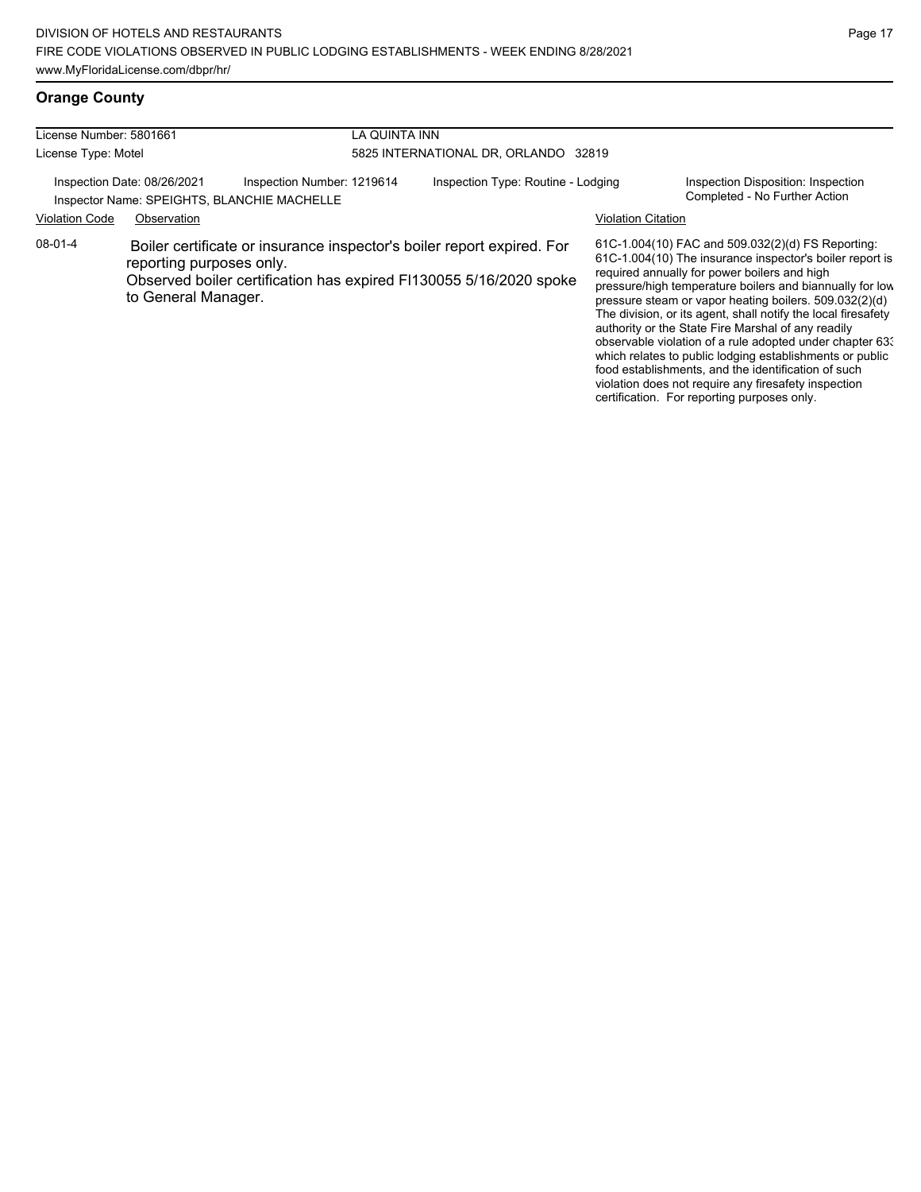food establishments, and the identification of such violation does not require any firesafety inspection certification. For reporting purposes only.

### **Orange County**

| License Number: 5801661                                                    |                                                 |                                                                                                                                              | LA QUINTA INN                        |                           |                                                                                                                                                                                                                                                                                                                                                                                                                                                                                                                                    |  |  |
|----------------------------------------------------------------------------|-------------------------------------------------|----------------------------------------------------------------------------------------------------------------------------------------------|--------------------------------------|---------------------------|------------------------------------------------------------------------------------------------------------------------------------------------------------------------------------------------------------------------------------------------------------------------------------------------------------------------------------------------------------------------------------------------------------------------------------------------------------------------------------------------------------------------------------|--|--|
| License Type: Motel                                                        |                                                 |                                                                                                                                              | 5825 INTERNATIONAL DR, ORLANDO 32819 |                           |                                                                                                                                                                                                                                                                                                                                                                                                                                                                                                                                    |  |  |
| Inspection Date: 08/26/2021<br>Inspector Name: SPEIGHTS, BLANCHIE MACHELLE |                                                 | Inspection Number: 1219614                                                                                                                   | Inspection Type: Routine - Lodging   |                           | Inspection Disposition: Inspection<br>Completed - No Further Action                                                                                                                                                                                                                                                                                                                                                                                                                                                                |  |  |
| <b>Violation Code</b>                                                      | Observation                                     |                                                                                                                                              |                                      | <b>Violation Citation</b> |                                                                                                                                                                                                                                                                                                                                                                                                                                                                                                                                    |  |  |
| 08-01-4                                                                    | reporting purposes only.<br>to General Manager. | Boiler certificate or insurance inspector's boiler report expired. For<br>Observed boiler certification has expired FI130055 5/16/2020 spoke |                                      |                           | 61C-1.004(10) FAC and 509.032(2)(d) FS Reporting:<br>61C-1.004(10) The insurance inspector's boiler report is<br>required annually for power boilers and high<br>pressure/high temperature boilers and biannually for low<br>pressure steam or vapor heating boilers. 509.032(2)(d)<br>The division, or its agent, shall notify the local firesafety<br>authority or the State Fire Marshal of any readily<br>observable violation of a rule adopted under chapter 63.<br>which relates to public lodging establishments or public |  |  |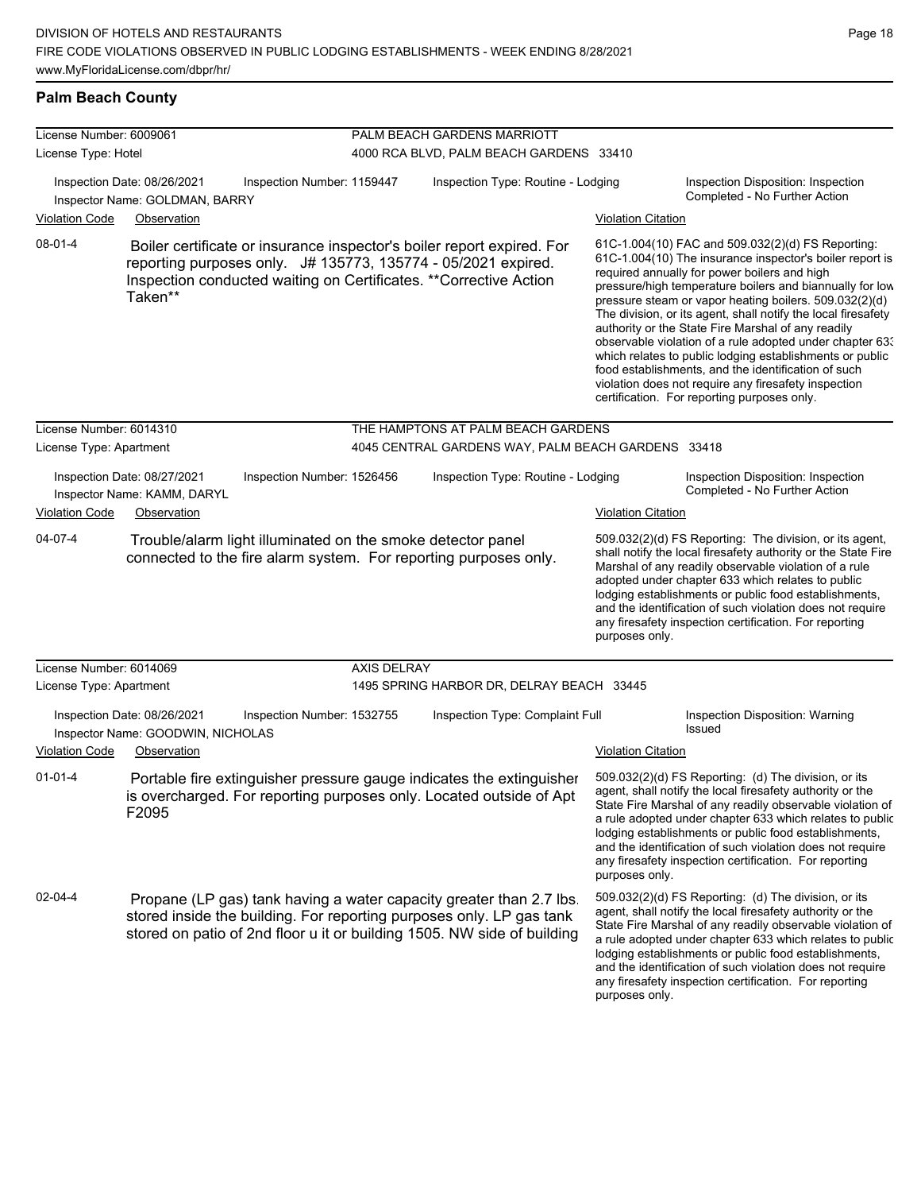### **Palm Beach County**

| License Number: 6009061                                    |                                                                                                                                 |                            | PALM BEACH GARDENS MARRIOTT                                                                                                                                                                                                                                                                                                                                                                                                                                                                                                                                                                                                                                                                                                                                                                                                                                                                                       |                           |                                                                                                                                                                                                                                                                                                                                                                                                                            |  |  |
|------------------------------------------------------------|---------------------------------------------------------------------------------------------------------------------------------|----------------------------|-------------------------------------------------------------------------------------------------------------------------------------------------------------------------------------------------------------------------------------------------------------------------------------------------------------------------------------------------------------------------------------------------------------------------------------------------------------------------------------------------------------------------------------------------------------------------------------------------------------------------------------------------------------------------------------------------------------------------------------------------------------------------------------------------------------------------------------------------------------------------------------------------------------------|---------------------------|----------------------------------------------------------------------------------------------------------------------------------------------------------------------------------------------------------------------------------------------------------------------------------------------------------------------------------------------------------------------------------------------------------------------------|--|--|
| License Type: Hotel                                        |                                                                                                                                 |                            | 4000 RCA BLVD, PALM BEACH GARDENS 33410                                                                                                                                                                                                                                                                                                                                                                                                                                                                                                                                                                                                                                                                                                                                                                                                                                                                           |                           |                                                                                                                                                                                                                                                                                                                                                                                                                            |  |  |
|                                                            | Inspection Date: 08/26/2021<br>Inspector Name: GOLDMAN, BARRY                                                                   | Inspection Number: 1159447 | Inspection Type: Routine - Lodging                                                                                                                                                                                                                                                                                                                                                                                                                                                                                                                                                                                                                                                                                                                                                                                                                                                                                |                           | Inspection Disposition: Inspection<br>Completed - No Further Action                                                                                                                                                                                                                                                                                                                                                        |  |  |
| <b>Violation Code</b>                                      | Observation                                                                                                                     |                            |                                                                                                                                                                                                                                                                                                                                                                                                                                                                                                                                                                                                                                                                                                                                                                                                                                                                                                                   | <b>Violation Citation</b> |                                                                                                                                                                                                                                                                                                                                                                                                                            |  |  |
| 08-01-4                                                    | Taken**                                                                                                                         |                            | Boiler certificate or insurance inspector's boiler report expired. For<br>61C-1.004(10) FAC and 509.032(2)(d) FS Reporting:<br>61C-1.004(10) The insurance inspector's boiler report is<br>reporting purposes only. J# 135773, 135774 - 05/2021 expired.<br>required annually for power boilers and high<br>Inspection conducted waiting on Certificates. ** Corrective Action<br>pressure/high temperature boilers and biannually for low<br>pressure steam or vapor heating boilers. 509.032(2)(d)<br>The division, or its agent, shall notify the local firesafety<br>authority or the State Fire Marshal of any readily<br>observable violation of a rule adopted under chapter 63.<br>which relates to public lodging establishments or public<br>food establishments, and the identification of such<br>violation does not require any firesafety inspection<br>certification. For reporting purposes only. |                           |                                                                                                                                                                                                                                                                                                                                                                                                                            |  |  |
| License Number: 6014310                                    |                                                                                                                                 |                            | THE HAMPTONS AT PALM BEACH GARDENS                                                                                                                                                                                                                                                                                                                                                                                                                                                                                                                                                                                                                                                                                                                                                                                                                                                                                |                           |                                                                                                                                                                                                                                                                                                                                                                                                                            |  |  |
| License Type: Apartment                                    |                                                                                                                                 |                            | 4045 CENTRAL GARDENS WAY, PALM BEACH GARDENS 33418                                                                                                                                                                                                                                                                                                                                                                                                                                                                                                                                                                                                                                                                                                                                                                                                                                                                |                           |                                                                                                                                                                                                                                                                                                                                                                                                                            |  |  |
| Inspection Date: 08/27/2021<br>Inspector Name: KAMM, DARYL |                                                                                                                                 | Inspection Number: 1526456 | Inspection Type: Routine - Lodging                                                                                                                                                                                                                                                                                                                                                                                                                                                                                                                                                                                                                                                                                                                                                                                                                                                                                |                           | Inspection Disposition: Inspection<br>Completed - No Further Action                                                                                                                                                                                                                                                                                                                                                        |  |  |
| <b>Violation Code</b>                                      | Observation                                                                                                                     |                            |                                                                                                                                                                                                                                                                                                                                                                                                                                                                                                                                                                                                                                                                                                                                                                                                                                                                                                                   | <b>Violation Citation</b> |                                                                                                                                                                                                                                                                                                                                                                                                                            |  |  |
| 04-07-4                                                    | Trouble/alarm light illuminated on the smoke detector panel<br>connected to the fire alarm system. For reporting purposes only. |                            |                                                                                                                                                                                                                                                                                                                                                                                                                                                                                                                                                                                                                                                                                                                                                                                                                                                                                                                   | purposes only.            | 509.032(2)(d) FS Reporting: The division, or its agent,<br>shall notify the local firesafety authority or the State Fire<br>Marshal of any readily observable violation of a rule<br>adopted under chapter 633 which relates to public<br>lodging establishments or public food establishments,<br>and the identification of such violation does not require<br>any firesafety inspection certification. For reporting     |  |  |
| License Number: 6014069                                    |                                                                                                                                 | <b>AXIS DELRAY</b>         |                                                                                                                                                                                                                                                                                                                                                                                                                                                                                                                                                                                                                                                                                                                                                                                                                                                                                                                   |                           |                                                                                                                                                                                                                                                                                                                                                                                                                            |  |  |
| License Type: Apartment                                    |                                                                                                                                 |                            | 1495 SPRING HARBOR DR, DELRAY BEACH 33445                                                                                                                                                                                                                                                                                                                                                                                                                                                                                                                                                                                                                                                                                                                                                                                                                                                                         |                           |                                                                                                                                                                                                                                                                                                                                                                                                                            |  |  |
|                                                            | Inspection Date: 08/26/2021<br>Inspector Name: GOODWIN, NICHOLAS                                                                | Inspection Number: 1532755 | Inspection Type: Complaint Full                                                                                                                                                                                                                                                                                                                                                                                                                                                                                                                                                                                                                                                                                                                                                                                                                                                                                   |                           | Inspection Disposition: Warning<br>Issued                                                                                                                                                                                                                                                                                                                                                                                  |  |  |
| <b>Violation Code</b>                                      | Observation                                                                                                                     |                            |                                                                                                                                                                                                                                                                                                                                                                                                                                                                                                                                                                                                                                                                                                                                                                                                                                                                                                                   | <b>Violation Citation</b> |                                                                                                                                                                                                                                                                                                                                                                                                                            |  |  |
| $01 - 01 - 4$                                              | F2095                                                                                                                           |                            | Portable fire extinguisher pressure gauge indicates the extinguisher<br>is overcharged. For reporting purposes only. Located outside of Apt                                                                                                                                                                                                                                                                                                                                                                                                                                                                                                                                                                                                                                                                                                                                                                       | purposes only.            | 509.032(2)(d) FS Reporting (d) The division, or its<br>agent, shall notify the local firesafety authority or the<br>State Fire Marshal of any readily observable violation of<br>a rule adopted under chapter 633 which relates to public<br>lodging establishments or public food establishments,<br>and the identification of such violation does not require<br>any firesafety inspection certification. For reporting  |  |  |
| 02-04-4                                                    | stored inside the building. For reporting purposes only. LP gas tank                                                            |                            | Propane (LP gas) tank having a water capacity greater than 2.7 lbs<br>stored on patio of 2nd floor u it or building 1505. NW side of building                                                                                                                                                                                                                                                                                                                                                                                                                                                                                                                                                                                                                                                                                                                                                                     | purposes only.            | 509.032(2)(d) FS Reporting: (d) The division, or its<br>agent, shall notify the local firesafety authority or the<br>State Fire Marshal of any readily observable violation of<br>a rule adopted under chapter 633 which relates to public<br>lodging establishments or public food establishments,<br>and the identification of such violation does not require<br>any firesafety inspection certification. For reporting |  |  |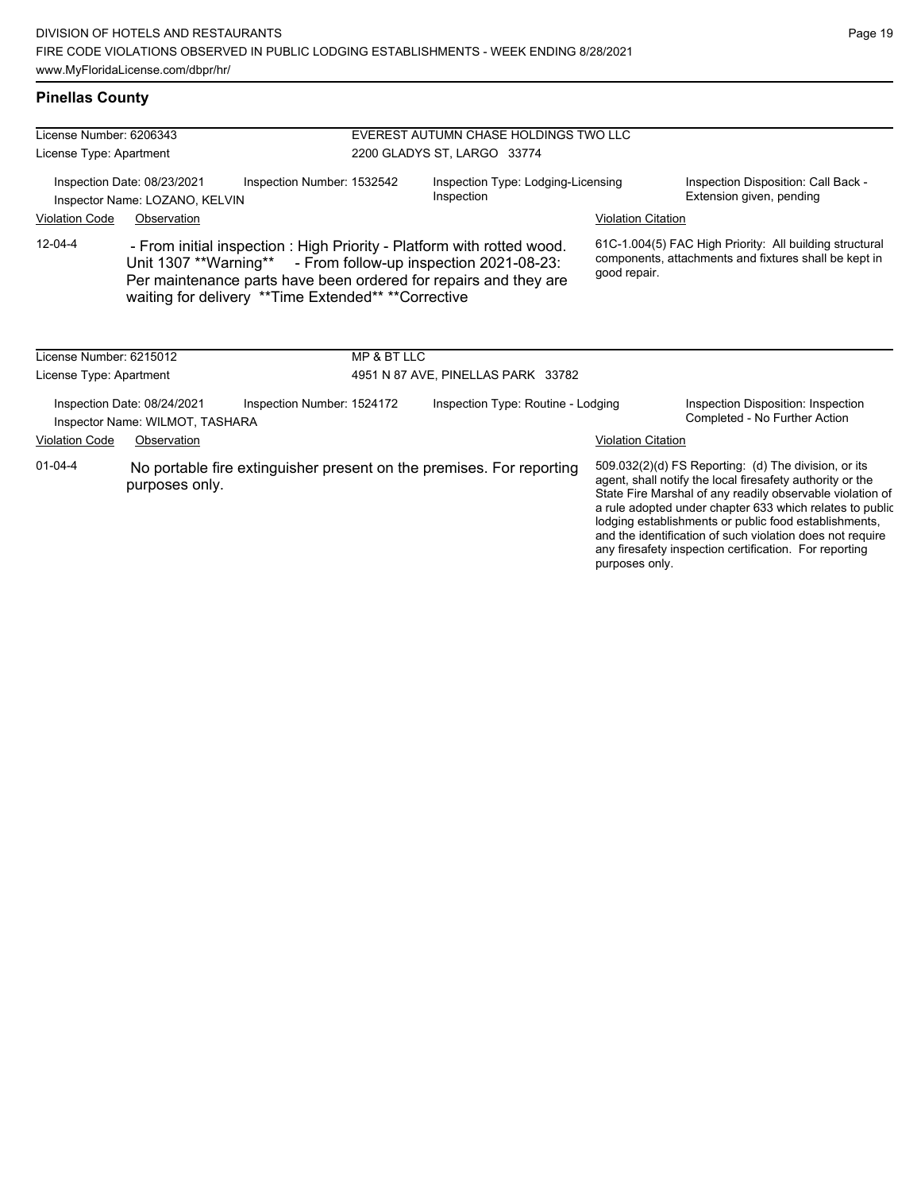| License Number: 6206343                                                                                 |             |                                                       | EVEREST AUTUMN CHASE HOLDINGS TWO LLC             |                                                                                                                                                                                                             |                                                                                                                                                                                                                                                                                                                                                                                                                            |                                                                                                                  |
|---------------------------------------------------------------------------------------------------------|-------------|-------------------------------------------------------|---------------------------------------------------|-------------------------------------------------------------------------------------------------------------------------------------------------------------------------------------------------------------|----------------------------------------------------------------------------------------------------------------------------------------------------------------------------------------------------------------------------------------------------------------------------------------------------------------------------------------------------------------------------------------------------------------------------|------------------------------------------------------------------------------------------------------------------|
| License Type: Apartment                                                                                 |             |                                                       | 2200 GLADYS ST, LARGO 33774                       |                                                                                                                                                                                                             |                                                                                                                                                                                                                                                                                                                                                                                                                            |                                                                                                                  |
| Inspection Date: 08/23/2021<br>Inspection Number: 1532542<br>Inspector Name: LOZANO, KELVIN             |             |                                                       | Inspection Type: Lodging-Licensing<br>Inspection  |                                                                                                                                                                                                             | Inspection Disposition: Call Back -<br>Extension given, pending                                                                                                                                                                                                                                                                                                                                                            |                                                                                                                  |
| <b>Violation Code</b>                                                                                   | Observation |                                                       |                                                   |                                                                                                                                                                                                             | <b>Violation Citation</b>                                                                                                                                                                                                                                                                                                                                                                                                  |                                                                                                                  |
| $12 - 04 - 4$                                                                                           |             | waiting for delivery ** Time Extended** ** Corrective |                                                   | - From initial inspection : High Priority - Platform with rotted wood.<br>Unit 1307 **Warning** - From follow-up inspection 2021-08-23:<br>Per maintenance parts have been ordered for repairs and they are | good repair.                                                                                                                                                                                                                                                                                                                                                                                                               | 61C-1.004(5) FAC High Priority: All building structural<br>components, attachments and fixtures shall be kept in |
| License Number: 6215012<br>License Type: Apartment                                                      |             |                                                       | MP & BT LLC<br>4951 N 87 AVE, PINELLAS PARK 33782 |                                                                                                                                                                                                             |                                                                                                                                                                                                                                                                                                                                                                                                                            |                                                                                                                  |
| Inspection Date: 08/24/2021<br>Inspector Name: WILMOT, TASHARA                                          |             | Inspection Number: 1524172                            | Inspection Type: Routine - Lodging                |                                                                                                                                                                                                             |                                                                                                                                                                                                                                                                                                                                                                                                                            | Inspection Disposition: Inspection<br>Completed - No Further Action                                              |
| <b>Violation Code</b>                                                                                   | Observation |                                                       |                                                   |                                                                                                                                                                                                             | <b>Violation Citation</b>                                                                                                                                                                                                                                                                                                                                                                                                  |                                                                                                                  |
| $01 - 04 - 4$<br>No portable fire extinguisher present on the premises. For reporting<br>purposes only. |             |                                                       |                                                   | purposes only.                                                                                                                                                                                              | 509.032(2)(d) FS Reporting: (d) The division, or its<br>agent, shall notify the local firesafety authority or the<br>State Fire Marshal of any readily observable violation of<br>a rule adopted under chapter 633 which relates to public<br>lodging establishments or public food establishments,<br>and the identification of such violation does not require<br>any firesafety inspection certification. For reporting |                                                                                                                  |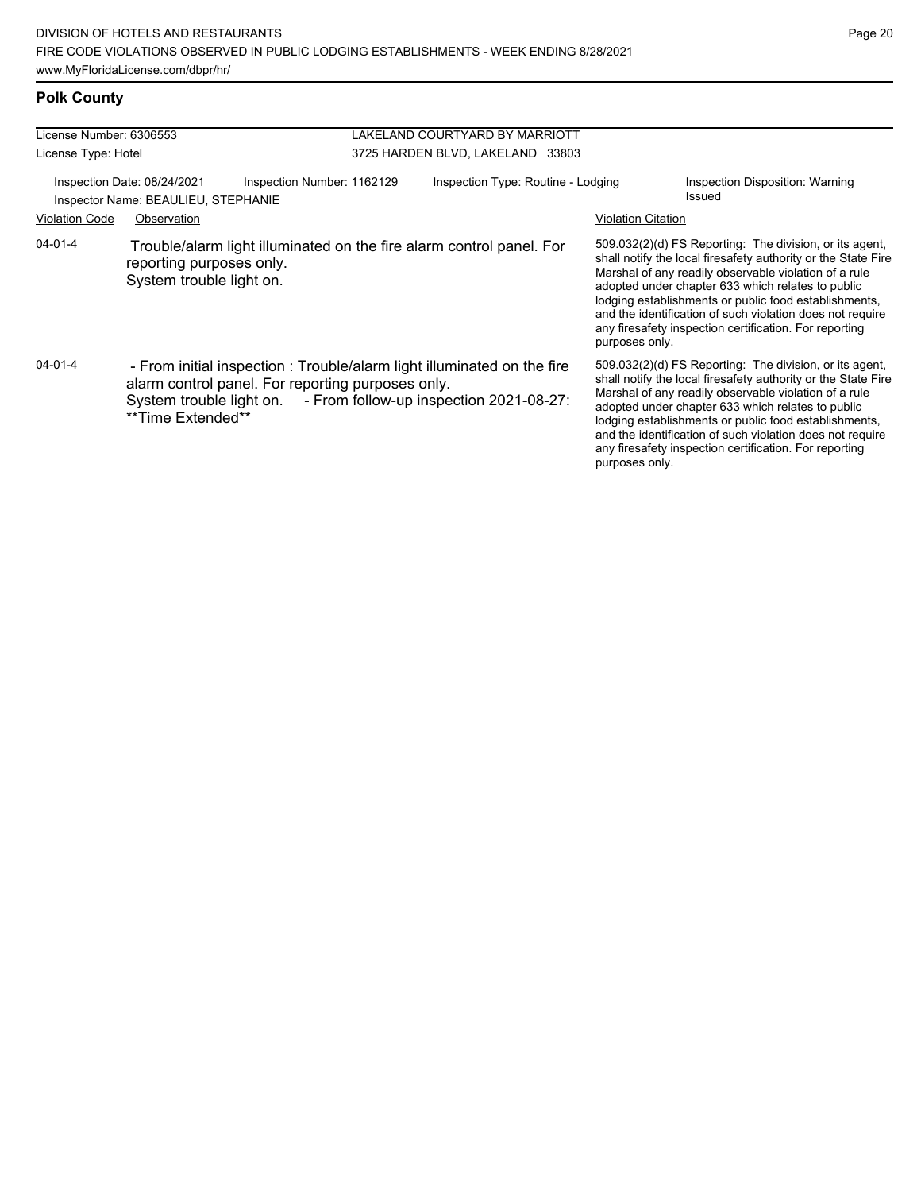## **Polk County**

| License Number: 6306553                                                                                                                  |                                                                                                                                                                                                                       | LAKELAND COURTYARD BY MARRIOTT |                                    |                           |                                                                                                                                                                                                                                                                                                                                                                                                                        |
|------------------------------------------------------------------------------------------------------------------------------------------|-----------------------------------------------------------------------------------------------------------------------------------------------------------------------------------------------------------------------|--------------------------------|------------------------------------|---------------------------|------------------------------------------------------------------------------------------------------------------------------------------------------------------------------------------------------------------------------------------------------------------------------------------------------------------------------------------------------------------------------------------------------------------------|
| License Type: Hotel                                                                                                                      |                                                                                                                                                                                                                       |                                | 3725 HARDEN BLVD, LAKELAND 33803   |                           |                                                                                                                                                                                                                                                                                                                                                                                                                        |
| Inspection Date: 08/24/2021<br>Inspection Number: 1162129<br>Inspector Name: BEAULIEU, STEPHANIE<br><b>Violation Code</b><br>Observation |                                                                                                                                                                                                                       |                                | Inspection Type: Routine - Lodging | <b>Violation Citation</b> | Inspection Disposition: Warning<br>Issued                                                                                                                                                                                                                                                                                                                                                                              |
| $04 - 01 - 4$                                                                                                                            | Trouble/alarm light illuminated on the fire alarm control panel. For<br>reporting purposes only.<br>System trouble light on.                                                                                          |                                |                                    | purposes only.            | 509.032(2)(d) FS Reporting: The division, or its agent,<br>shall notify the local firesafety authority or the State Fire<br>Marshal of any readily observable violation of a rule<br>adopted under chapter 633 which relates to public<br>lodging establishments or public food establishments,<br>and the identification of such violation does not require<br>any firesafety inspection certification. For reporting |
| $04 - 01 - 4$                                                                                                                            | - From initial inspection : Trouble/alarm light illuminated on the fire<br>alarm control panel. For reporting purposes only.<br>System trouble light on. - From follow-up inspection 2021-08-27:<br>**Time Extended** |                                |                                    | purposes only.            | 509.032(2)(d) FS Reporting: The division, or its agent,<br>shall notify the local firesafety authority or the State Fire<br>Marshal of any readily observable violation of a rule<br>adopted under chapter 633 which relates to public<br>lodging establishments or public food establishments,<br>and the identification of such violation does not require<br>any firesafety inspection certification. For reporting |